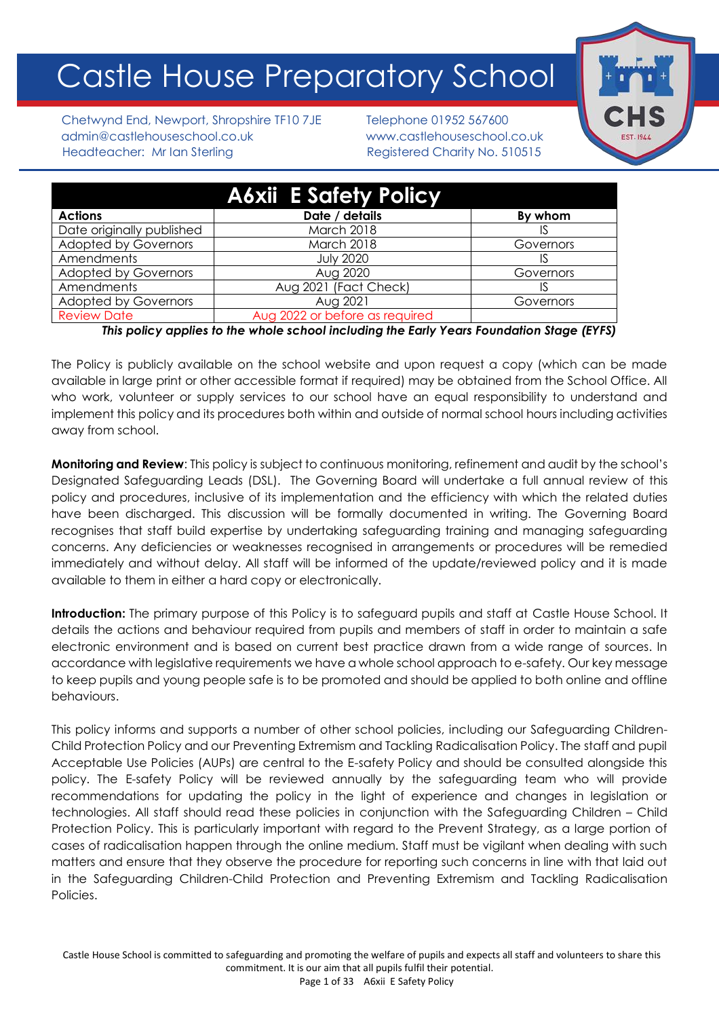# Castle House Preparatory School

Chetwynd End, Newport, Shropshire TF10 7JE Telephone 01952 567600 admin@castlehouseschool.co.uk www.castlehouseschool.co.uk Headteacher: Mr Ian Sterling Registered Charity No. 510515

|                             | <b>A6xii E Safety Policy</b>   |           |
|-----------------------------|--------------------------------|-----------|
| <b>Actions</b>              | Date / details                 | By whom   |
| Date originally published   | March 2018                     |           |
| <b>Adopted by Governors</b> | <b>March 2018</b>              | Governors |
| Amendments                  | <b>July 2020</b>               | IS        |
| <b>Adopted by Governors</b> | Aug 2020                       | Governors |
| Amendments                  | Aug 2021 (Fact Check)          | IS        |
| <b>Adopted by Governors</b> | Aug 2021                       | Governors |
| <b>Review Date</b>          | Aug 2022 or before as required |           |

*This policy applies to the whole school including the Early Years Foundation Stage (EYFS)*

The Policy is publicly available on the school website and upon request a copy (which can be made available in large print or other accessible format if required) may be obtained from the School Office. All who work, volunteer or supply services to our school have an equal responsibility to understand and implement this policy and its procedures both within and outside of normal school hours including activities away from school.

**Monitoring and Review**: This policy is subject to continuous monitoring, refinement and audit by the school's Designated Safeguarding Leads (DSL). The Governing Board will undertake a full annual review of this policy and procedures, inclusive of its implementation and the efficiency with which the related duties have been discharged. This discussion will be formally documented in writing. The Governing Board recognises that staff build expertise by undertaking safeguarding training and managing safeguarding concerns. Any deficiencies or weaknesses recognised in arrangements or procedures will be remedied immediately and without delay. All staff will be informed of the update/reviewed policy and it is made available to them in either a hard copy or electronically.

**Introduction:** The primary purpose of this Policy is to safeguard pupils and staff at Castle House School. It details the actions and behaviour required from pupils and members of staff in order to maintain a safe electronic environment and is based on current best practice drawn from a wide range of sources. In accordance with legislative requirements we have a whole school approach to e-safety. Our key message to keep pupils and young people safe is to be promoted and should be applied to both online and offline behaviours.

This policy informs and supports a number of other school policies, including our Safeguarding Children-Child Protection Policy and our Preventing Extremism and Tackling Radicalisation Policy. The staff and pupil Acceptable Use Policies (AUPs) are central to the E-safety Policy and should be consulted alongside this policy. The E-safety Policy will be reviewed annually by the safeguarding team who will provide recommendations for updating the policy in the light of experience and changes in legislation or technologies. All staff should read these policies in conjunction with the Safeguarding Children – Child Protection Policy. This is particularly important with regard to the Prevent Strategy, as a large portion of cases of radicalisation happen through the online medium. Staff must be vigilant when dealing with such matters and ensure that they observe the procedure for reporting such concerns in line with that laid out in the Safeguarding Children-Child Protection and Preventing Extremism and Tackling Radicalisation Policies.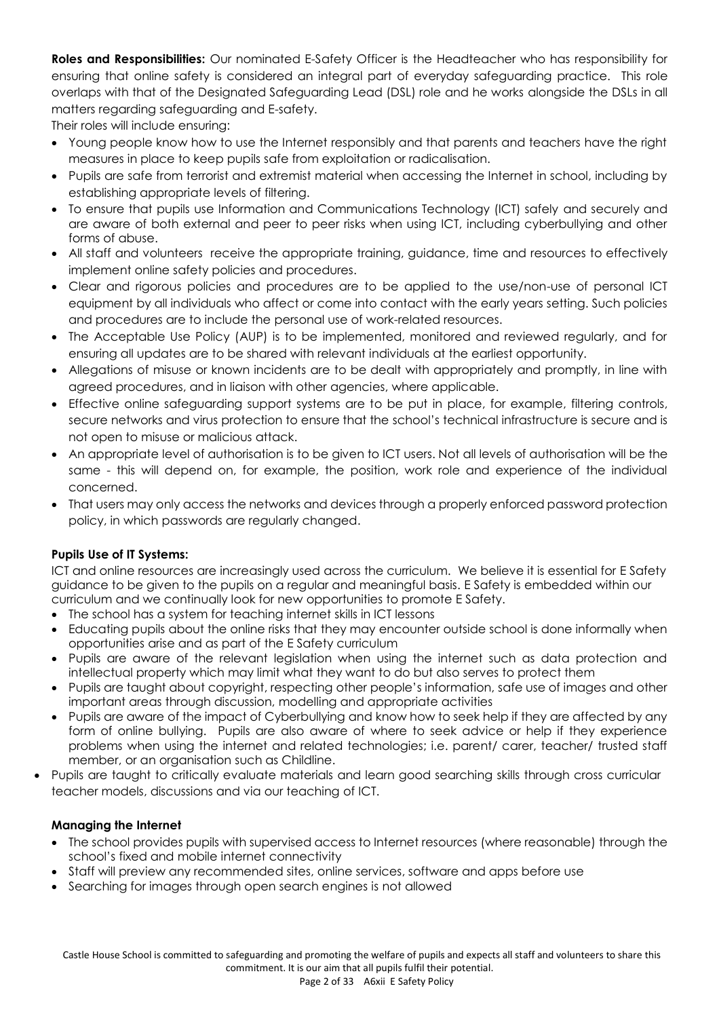**Roles and Responsibilities:** Our nominated E-Safety Officer is the Headteacher who has responsibility for ensuring that online safety is considered an integral part of everyday safeguarding practice. This role overlaps with that of the Designated Safeguarding Lead (DSL) role and he works alongside the DSLs in all matters regarding safeguarding and E-safety.

Their roles will include ensuring:

- Young people know how to use the Internet responsibly and that parents and teachers have the right measures in place to keep pupils safe from exploitation or radicalisation.
- Pupils are safe from terrorist and extremist material when accessing the Internet in school, including by establishing appropriate levels of filtering.
- To ensure that pupils use Information and Communications Technology (ICT) safely and securely and are aware of both external and peer to peer risks when using ICT, including cyberbullying and other forms of abuse.
- All staff and volunteers receive the appropriate training, guidance, time and resources to effectively implement online safety policies and procedures.
- Clear and rigorous policies and procedures are to be applied to the use/non-use of personal ICT equipment by all individuals who affect or come into contact with the early years setting. Such policies and procedures are to include the personal use of work-related resources.
- The Acceptable Use Policy (AUP) is to be implemented, monitored and reviewed regularly, and for ensuring all updates are to be shared with relevant individuals at the earliest opportunity.
- Allegations of misuse or known incidents are to be dealt with appropriately and promptly, in line with agreed procedures, and in liaison with other agencies, where applicable.
- Effective online safeguarding support systems are to be put in place, for example, filtering controls, secure networks and virus protection to ensure that the school's technical infrastructure is secure and is not open to misuse or malicious attack.
- An appropriate level of authorisation is to be given to ICT users. Not all levels of authorisation will be the same - this will depend on, for example, the position, work role and experience of the individual concerned.
- That users may only access the networks and devices through a properly enforced password protection policy, in which passwords are regularly changed.

# **Pupils Use of IT Systems:**

ICT and online resources are increasingly used across the curriculum. We believe it is essential for E Safety guidance to be given to the pupils on a regular and meaningful basis. E Safety is embedded within our curriculum and we continually look for new opportunities to promote E Safety.

- The school has a system for teaching internet skills in ICT lessons
- Educating pupils about the online risks that they may encounter outside school is done informally when opportunities arise and as part of the E Safety curriculum
- Pupils are aware of the relevant legislation when using the internet such as data protection and intellectual property which may limit what they want to do but also serves to protect them
- Pupils are taught about copyright, respecting other people's information, safe use of images and other important areas through discussion, modelling and appropriate activities
- Pupils are aware of the impact of Cyberbullying and know how to seek help if they are affected by any form of online bullying. Pupils are also aware of where to seek advice or help if they experience problems when using the internet and related technologies; i.e. parent/ carer, teacher/ trusted staff member, or an organisation such as Childline.
- Pupils are taught to critically evaluate materials and learn good searching skills through cross curricular teacher models, discussions and via our teaching of ICT.

# **Managing the Internet**

- The school provides pupils with supervised access to Internet resources (where reasonable) through the school's fixed and mobile internet connectivity
- Staff will preview any recommended sites, online services, software and apps before use
- Searching for images through open search engines is not allowed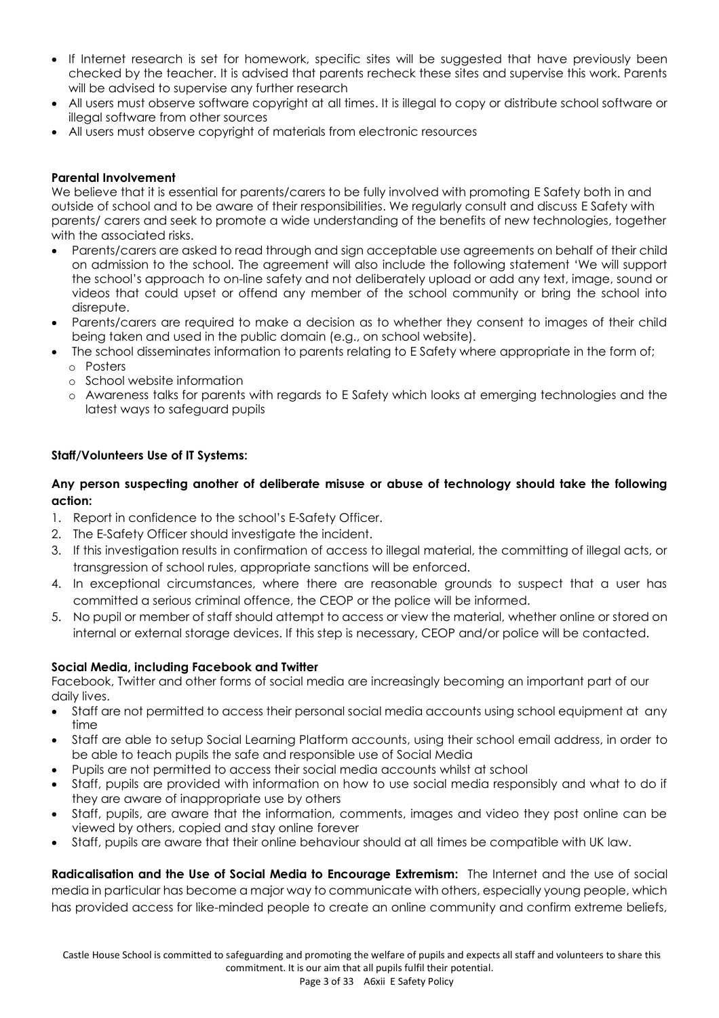- If Internet research is set for homework, specific sites will be suggested that have previously been checked by the teacher. It is advised that parents recheck these sites and supervise this work. Parents will be advised to supervise any further research
- All users must observe software copyright at all times. It is illegal to copy or distribute school software or illegal software from other sources
- All users must observe copyright of materials from electronic resources

#### **Parental Involvement**

We believe that it is essential for parents/carers to be fully involved with promoting E Safety both in and outside of school and to be aware of their responsibilities. We regularly consult and discuss E Safety with parents/ carers and seek to promote a wide understanding of the benefits of new technologies, together with the associated risks.

- Parents/carers are asked to read through and sign acceptable use agreements on behalf of their child on admission to the school. The agreement will also include the following statement 'We will support the school's approach to on-line safety and not deliberately upload or add any text, image, sound or videos that could upset or offend any member of the school community or bring the school into disrepute.
- Parents/carers are required to make a decision as to whether they consent to images of their child being taken and used in the public domain (e.g., on school website).
- The school disseminates information to parents relating to E Safety where appropriate in the form of;
	- o Posters
	- o School website information
	- o Awareness talks for parents with regards to E Safety which looks at emerging technologies and the latest ways to safeguard pupils

#### **Staff/Volunteers Use of IT Systems:**

# **Any person suspecting another of deliberate misuse or abuse of technology should take the following action:**

- 1. Report in confidence to the school's E-Safety Officer.
- 2. The E-Safety Officer should investigate the incident.
- 3. If this investigation results in confirmation of access to illegal material, the committing of illegal acts, or transgression of school rules, appropriate sanctions will be enforced.
- 4. In exceptional circumstances, where there are reasonable grounds to suspect that a user has committed a serious criminal offence, the CEOP or the police will be informed.
- 5. No pupil or member of staff should attempt to access or view the material, whether online or stored on internal or external storage devices. If this step is necessary, CEOP and/or police will be contacted.

#### **Social Media, including Facebook and Twitter**

Facebook, Twitter and other forms of social media are increasingly becoming an important part of our daily lives.

- Staff are not permitted to access their personal social media accounts using school equipment at any time
- Staff are able to setup Social Learning Platform accounts, using their school email address, in order to be able to teach pupils the safe and responsible use of Social Media
- Pupils are not permitted to access their social media accounts whilst at school
- Staff, pupils are provided with information on how to use social media responsibly and what to do if they are aware of inappropriate use by others
- Staff, pupils, are aware that the information, comments, images and video they post online can be viewed by others, copied and stay online forever
- Staff, pupils are aware that their online behaviour should at all times be compatible with UK law.

**Radicalisation and the Use of Social Media to Encourage Extremism:** The Internet and the use of social media in particular has become a major way to communicate with others, especially young people, which has provided access for like-minded people to create an online community and confirm extreme beliefs,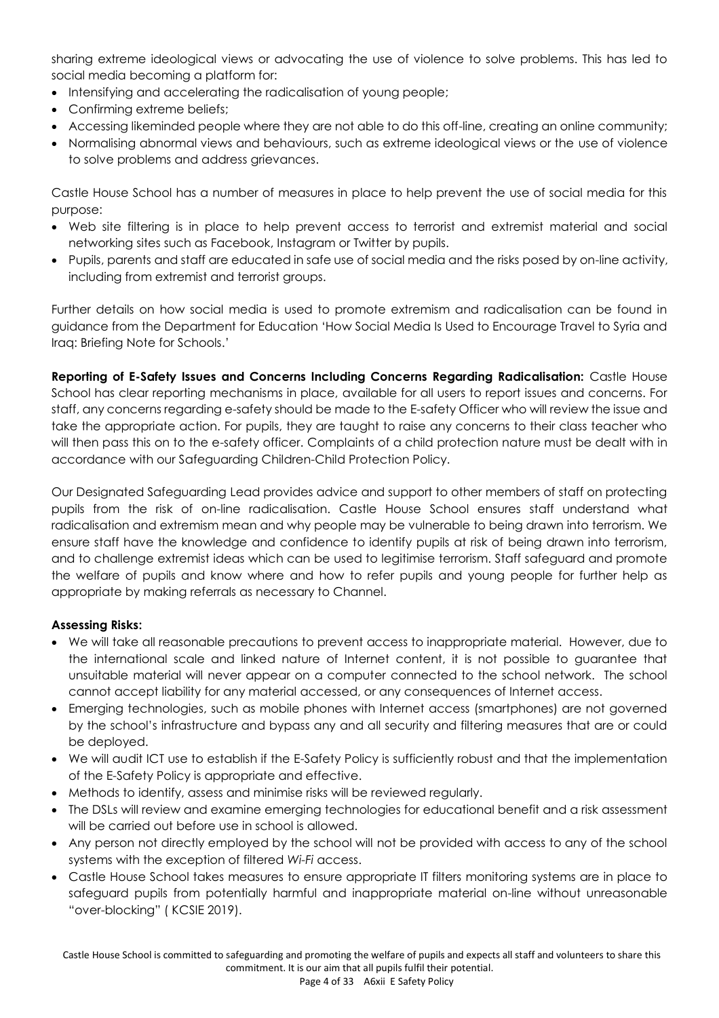sharing extreme ideological views or advocating the use of violence to solve problems. This has led to social media becoming a platform for:

- Intensifying and accelerating the radicalisation of young people;
- Confirming extreme beliefs;
- Accessing likeminded people where they are not able to do this off-line, creating an online community;
- Normalising abnormal views and behaviours, such as extreme ideological views or the use of violence to solve problems and address grievances.

Castle House School has a number of measures in place to help prevent the use of social media for this purpose:

- Web site filtering is in place to help prevent access to terrorist and extremist material and social networking sites such as Facebook, Instagram or Twitter by pupils.
- Pupils, parents and staff are educated in safe use of social media and the risks posed by on-line activity, including from extremist and terrorist groups.

Further details on how social media is used to promote extremism and radicalisation can be found in guidance from the Department for Education 'How Social Media Is Used to Encourage Travel to Syria and Iraq: Briefing Note for Schools.'

**Reporting of E-Safety Issues and Concerns Including Concerns Regarding Radicalisation:** Castle House School has clear reporting mechanisms in place, available for all users to report issues and concerns. For staff, any concerns regarding e-safety should be made to the E-safety Officer who will review the issue and take the appropriate action. For pupils, they are taught to raise any concerns to their class teacher who will then pass this on to the e-safety officer. Complaints of a child protection nature must be dealt with in accordance with our Safeguarding Children-Child Protection Policy.

Our Designated Safeguarding Lead provides advice and support to other members of staff on protecting pupils from the risk of on-line radicalisation. Castle House School ensures staff understand what radicalisation and extremism mean and why people may be vulnerable to being drawn into terrorism. We ensure staff have the knowledge and confidence to identify pupils at risk of being drawn into terrorism, and to challenge extremist ideas which can be used to legitimise terrorism. Staff safeguard and promote the welfare of pupils and know where and how to refer pupils and young people for further help as appropriate by making referrals as necessary to Channel.

# **Assessing Risks:**

- We will take all reasonable precautions to prevent access to inappropriate material. However, due to the international scale and linked nature of Internet content, it is not possible to guarantee that unsuitable material will never appear on a computer connected to the school network. The school cannot accept liability for any material accessed, or any consequences of Internet access.
- Emerging technologies, such as mobile phones with Internet access (smartphones) are not governed by the school's infrastructure and bypass any and all security and filtering measures that are or could be deployed.
- We will audit ICT use to establish if the E-Safety Policy is sufficiently robust and that the implementation of the E-Safety Policy is appropriate and effective.
- Methods to identify, assess and minimise risks will be reviewed regularly.
- The DSLs will review and examine emerging technologies for educational benefit and a risk assessment will be carried out before use in school is allowed.
- Any person not directly employed by the school will not be provided with access to any of the school systems with the exception of filtered *Wi-Fi* access.
- Castle House School takes measures to ensure appropriate IT filters monitoring systems are in place to safeguard pupils from potentially harmful and inappropriate material on-line without unreasonable "over-blocking" ( KCSIE 2019).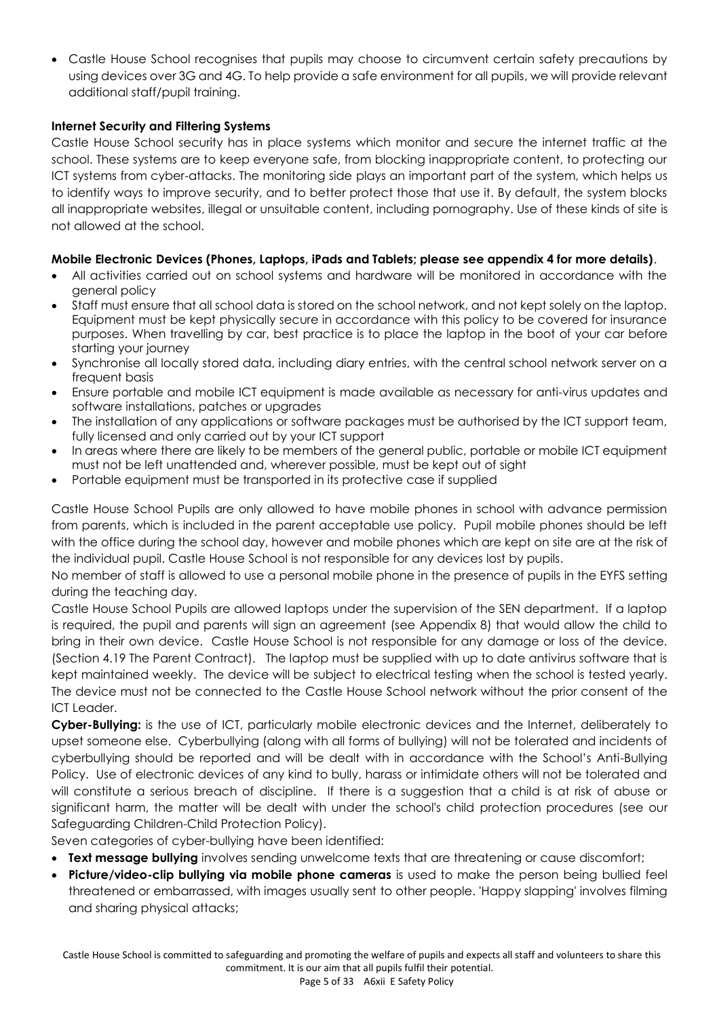• Castle House School recognises that pupils may choose to circumvent certain safety precautions by using devices over 3G and 4G. To help provide a safe environment for all pupils, we will provide relevant additional staff/pupil training.

# **Internet Security and Filtering Systems**

Castle House School security has in place systems which monitor and secure the internet traffic at the school. These systems are to keep everyone safe, from blocking inappropriate content, to protecting our ICT systems from cyber-attacks. The monitoring side plays an important part of the system, which helps us to identify ways to improve security, and to better protect those that use it. By default, the system blocks all inappropriate websites, illegal or unsuitable content, including pornography. Use of these kinds of site is not allowed at the school.

# **Mobile Electronic Devices (Phones, Laptops, iPads and Tablets; please see appendix 4 for more details)**.

- All activities carried out on school systems and hardware will be monitored in accordance with the general policy
- Staff must ensure that all school data is stored on the school network, and not kept solely on the laptop. Equipment must be kept physically secure in accordance with this policy to be covered for insurance purposes. When travelling by car, best practice is to place the laptop in the boot of your car before starting your journey
- Synchronise all locally stored data, including diary entries, with the central school network server on a frequent basis
- Ensure portable and mobile ICT equipment is made available as necessary for anti-virus updates and software installations, patches or upgrades
- The installation of any applications or software packages must be authorised by the ICT support team, fully licensed and only carried out by your ICT support
- In areas where there are likely to be members of the general public, portable or mobile ICT equipment must not be left unattended and, wherever possible, must be kept out of sight
- Portable equipment must be transported in its protective case if supplied

Castle House School Pupils are only allowed to have mobile phones in school with advance permission from parents, which is included in the parent acceptable use policy. Pupil mobile phones should be left with the office during the school day, however and mobile phones which are kept on site are at the risk of the individual pupil. Castle House School is not responsible for any devices lost by pupils.

No member of staff is allowed to use a personal mobile phone in the presence of pupils in the EYFS setting during the teaching day.

Castle House School Pupils are allowed laptops under the supervision of the SEN department. If a laptop is required, the pupil and parents will sign an agreement (see Appendix 8) that would allow the child to bring in their own device. Castle House School is not responsible for any damage or loss of the device. (Section 4.19 The Parent Contract). The laptop must be supplied with up to date antivirus software that is kept maintained weekly. The device will be subject to electrical testing when the school is tested yearly. The device must not be connected to the Castle House School network without the prior consent of the ICT Leader.

**Cyber-Bullying:** is the use of ICT, particularly mobile electronic devices and the Internet, deliberately to upset someone else. Cyberbullying (along with all forms of bullying) will not be tolerated and incidents of cyberbullying should be reported and will be dealt with in accordance with the School's Anti-Bullying Policy. Use of electronic devices of any kind to bully, harass or intimidate others will not be tolerated and will constitute a serious breach of discipline. If there is a suggestion that a child is at risk of abuse or significant harm, the matter will be dealt with under the school's child protection procedures (see our Safeguarding Children-Child Protection Policy).

Seven categories of cyber-bullying have been identified:

- **Text message bullying** involves sending unwelcome texts that are threatening or cause discomfort;
- **Picture/video-clip bullying via mobile phone cameras** is used to make the person being bullied feel threatened or embarrassed, with images usually sent to other people. 'Happy slapping' involves filming and sharing physical attacks;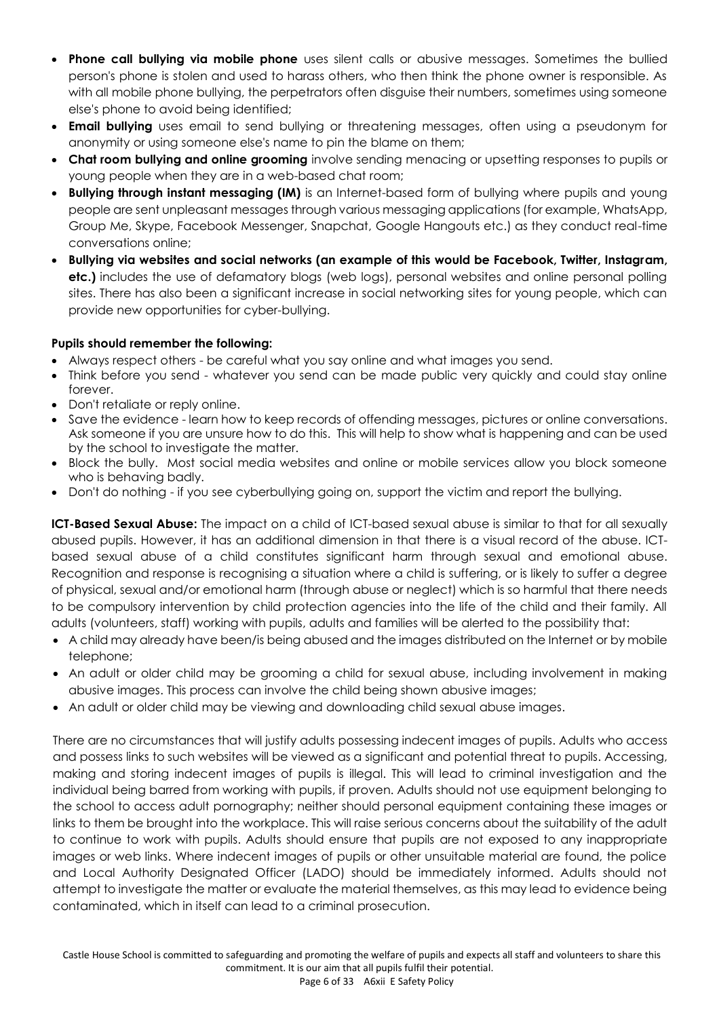- **Phone call bullying via mobile phone** uses silent calls or abusive messages. Sometimes the bullied person's phone is stolen and used to harass others, who then think the phone owner is responsible. As with all mobile phone bullying, the perpetrators often disguise their numbers, sometimes using someone else's phone to avoid being identified;
- **Email bullying** uses email to send bullying or threatening messages, often using a pseudonym for anonymity or using someone else's name to pin the blame on them;
- **Chat room bullying and online grooming** involve sending menacing or upsetting responses to pupils or young people when they are in a web-based chat room;
- **Bullying through instant messaging (IM)** is an Internet-based form of bullying where pupils and young people are sent unpleasant messages through various messaging applications (for example, WhatsApp, Group Me, Skype, Facebook Messenger, Snapchat, Google Hangouts etc.) as they conduct real-time conversations online;
- **Bullying via websites and social networks (an example of this would be Facebook, Twitter, Instagram, etc.)** includes the use of defamatory blogs (web logs), personal websites and online personal polling sites. There has also been a significant increase in social networking sites for young people, which can provide new opportunities for cyber-bullying.

# **Pupils should remember the following:**

- Always respect others be careful what you say online and what images you send.
- Think before you send whatever you send can be made public very quickly and could stay online forever.
- Don't retaliate or reply online.
- Save the evidence learn how to keep records of offending messages, pictures or online conversations. Ask someone if you are unsure how to do this. This will help to show what is happening and can be used by the school to investigate the matter.
- Block the bully. Most social media websites and online or mobile services allow you block someone who is behaving badly.
- Don't do nothing if you see cyberbullying going on, support the victim and report the bullying.

**ICT-Based Sexual Abuse:** The impact on a child of ICT-based sexual abuse is similar to that for all sexually abused pupils. However, it has an additional dimension in that there is a visual record of the abuse. ICTbased sexual abuse of a child constitutes significant harm through sexual and emotional abuse. Recognition and response is recognising a situation where a child is suffering, or is likely to suffer a degree of physical, sexual and/or emotional harm (through abuse or neglect) which is so harmful that there needs to be compulsory intervention by child protection agencies into the life of the child and their family. All adults (volunteers, staff) working with pupils, adults and families will be alerted to the possibility that:

- A child may already have been/is being abused and the images distributed on the Internet or by mobile telephone;
- An adult or older child may be grooming a child for sexual abuse, including involvement in making abusive images. This process can involve the child being shown abusive images;
- An adult or older child may be viewing and downloading child sexual abuse images.

There are no circumstances that will justify adults possessing indecent images of pupils. Adults who access and possess links to such websites will be viewed as a significant and potential threat to pupils. Accessing, making and storing indecent images of pupils is illegal. This will lead to criminal investigation and the individual being barred from working with pupils, if proven. Adults should not use equipment belonging to the school to access adult pornography; neither should personal equipment containing these images or links to them be brought into the workplace. This will raise serious concerns about the suitability of the adult to continue to work with pupils. Adults should ensure that pupils are not exposed to any inappropriate images or web links. Where indecent images of pupils or other unsuitable material are found, the police and Local Authority Designated Officer (LADO) should be immediately informed. Adults should not attempt to investigate the matter or evaluate the material themselves, as this may lead to evidence being contaminated, which in itself can lead to a criminal prosecution.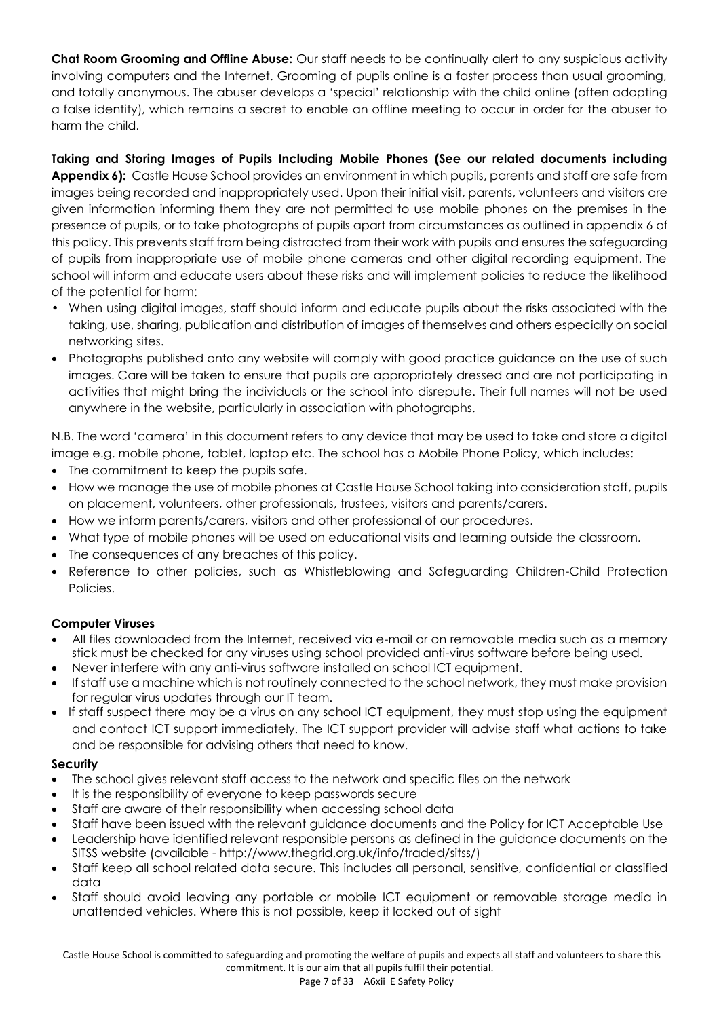**Chat Room Grooming and Offline Abuse:** Our staff needs to be continually alert to any suspicious activity involving computers and the Internet. Grooming of pupils online is a faster process than usual grooming, and totally anonymous. The abuser develops a 'special' relationship with the child online (often adopting a false identity), which remains a secret to enable an offline meeting to occur in order for the abuser to harm the child.

# **Taking and Storing Images of Pupils Including Mobile Phones (See our related documents including**

**Appendix 6):** Castle House School provides an environment in which pupils, parents and staff are safe from images being recorded and inappropriately used. Upon their initial visit, parents, volunteers and visitors are given information informing them they are not permitted to use mobile phones on the premises in the presence of pupils, or to take photographs of pupils apart from circumstances as outlined in appendix 6 of this policy. This prevents staff from being distracted from their work with pupils and ensures the safeguarding of pupils from inappropriate use of mobile phone cameras and other digital recording equipment. The school will inform and educate users about these risks and will implement policies to reduce the likelihood of the potential for harm:

- When using digital images, staff should inform and educate pupils about the risks associated with the taking, use, sharing, publication and distribution of images of themselves and others especially on social networking sites.
- Photographs published onto any website will comply with good practice guidance on the use of such images. Care will be taken to ensure that pupils are appropriately dressed and are not participating in activities that might bring the individuals or the school into disrepute. Their full names will not be used anywhere in the website, particularly in association with photographs.

N.B. The word 'camera' in this document refers to any device that may be used to take and store a digital image e.g. mobile phone, tablet, laptop etc. The school has a Mobile Phone Policy, which includes:

- The commitment to keep the pupils safe.
- How we manage the use of mobile phones at Castle House School taking into consideration staff, pupils on placement, volunteers, other professionals, trustees, visitors and parents/carers.
- How we inform parents/carers, visitors and other professional of our procedures.
- What type of mobile phones will be used on educational visits and learning outside the classroom.
- The consequences of any breaches of this policy.
- Reference to other policies, such as Whistleblowing and Safeguarding Children-Child Protection Policies.

# **Computer Viruses**

- All files downloaded from the Internet, received via e-mail or on removable media such as a memory stick must be checked for any viruses using school provided anti-virus software before being used.
- Never interfere with any anti-virus software installed on school ICT equipment.
- If staff use a machine which is not routinely connected to the school network, they must make provision for regular virus updates through our IT team.
- If staff suspect there may be a virus on any school ICT equipment, they must stop using the equipment and contact ICT support immediately. The ICT support provider will advise staff what actions to take and be responsible for advising others that need to know.

#### **Security**

- The school gives relevant staff access to the network and specific files on the network
- It is the responsibility of everyone to keep passwords secure
- Staff are aware of their responsibility when accessing school data
- Staff have been issued with the relevant guidance documents and the Policy for ICT Acceptable Use
- Leadership have identified relevant responsible persons as defined in the guidance documents on the SITSS website (available - http://www.thegrid.org.uk/info/traded/sitss/)
- Staff keep all school related data secure. This includes all personal, sensitive, confidential or classified data
- Staff should avoid leaving any portable or mobile ICT equipment or removable storage media in unattended vehicles. Where this is not possible, keep it locked out of sight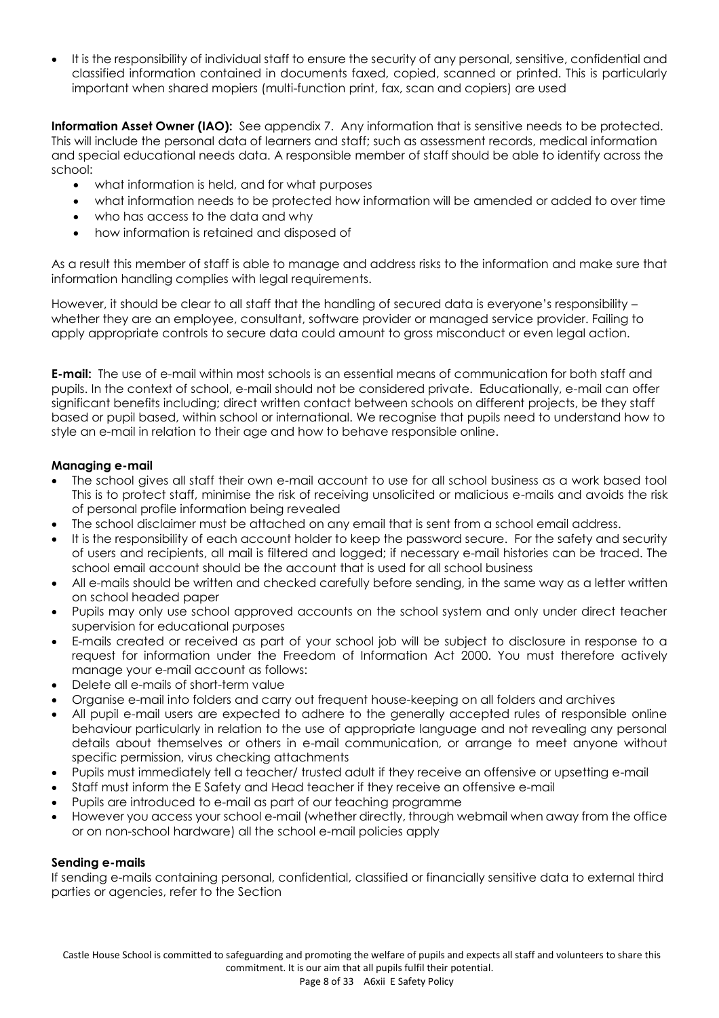• It is the responsibility of individual staff to ensure the security of any personal, sensitive, confidential and classified information contained in documents faxed, copied, scanned or printed. This is particularly important when shared mopiers (multi-function print, fax, scan and copiers) are used

**Information Asset Owner (IAO):** See appendix 7. Any information that is sensitive needs to be protected. This will include the personal data of learners and staff; such as assessment records, medical information and special educational needs data. A responsible member of staff should be able to identify across the school:

- what information is held, and for what purposes
- what information needs to be protected how information will be amended or added to over time
- who has access to the data and why
- how information is retained and disposed of

As a result this member of staff is able to manage and address risks to the information and make sure that information handling complies with legal requirements.

However, it should be clear to all staff that the handling of secured data is everyone's responsibility – whether they are an employee, consultant, software provider or managed service provider. Failing to apply appropriate controls to secure data could amount to gross misconduct or even legal action.

**E-mail:** The use of e-mail within most schools is an essential means of communication for both staff and pupils. In the context of school, e-mail should not be considered private. Educationally, e-mail can offer significant benefits including; direct written contact between schools on different projects, be they staff based or pupil based, within school or international. We recognise that pupils need to understand how to style an e-mail in relation to their age and how to behave responsible online.

#### **Managing e-mail**

- The school gives all staff their own e-mail account to use for all school business as a work based tool This is to protect staff, minimise the risk of receiving unsolicited or malicious e-mails and avoids the risk of personal profile information being revealed
- The school disclaimer must be attached on any email that is sent from a school email address.
- It is the responsibility of each account holder to keep the password secure. For the safety and security of users and recipients, all mail is filtered and logged; if necessary e-mail histories can be traced. The school email account should be the account that is used for all school business
- All e-mails should be written and checked carefully before sending, in the same way as a letter written on school headed paper
- Pupils may only use school approved accounts on the school system and only under direct teacher supervision for educational purposes
- E-mails created or received as part of your school job will be subject to disclosure in response to a request for information under the Freedom of Information Act 2000. You must therefore actively manage your e-mail account as follows:
- Delete all e-mails of short-term value
- Organise e-mail into folders and carry out frequent house-keeping on all folders and archives
- All pupil e-mail users are expected to adhere to the generally accepted rules of responsible online behaviour particularly in relation to the use of appropriate language and not revealing any personal details about themselves or others in e-mail communication, or arrange to meet anyone without specific permission, virus checking attachments
- Pupils must immediately tell a teacher/ trusted adult if they receive an offensive or upsetting e-mail
- Staff must inform the E Safety and Head teacher if they receive an offensive e-mail
- Pupils are introduced to e-mail as part of our teaching programme
- However you access your school e-mail (whether directly, through webmail when away from the office or on non-school hardware) all the school e-mail policies apply

#### **Sending e-mails**

If sending e-mails containing personal, confidential, classified or financially sensitive data to external third parties or agencies, refer to the Section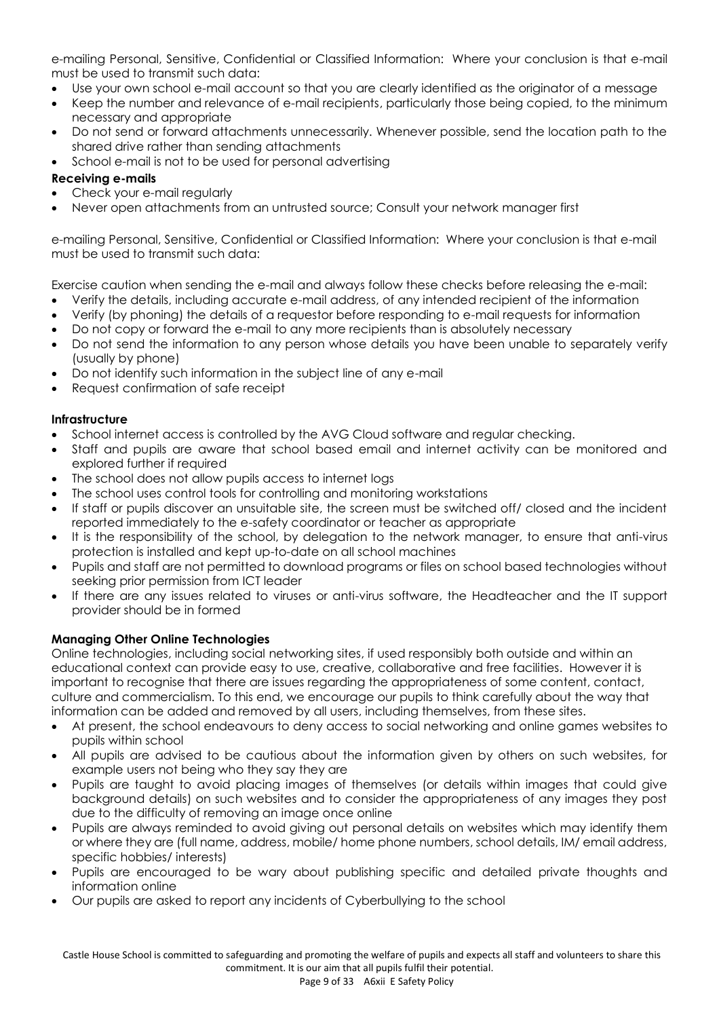e-mailing Personal, Sensitive, Confidential or [Classified Information: Where your conclusion is that e-mail](#page-8-0)  [must be used to transmit such data:](#page-8-0)

- Use your own school e-mail account so that you are clearly identified as the originator of a message
- Keep the number and relevance of e-mail recipients, particularly those being copied, to the minimum necessary and appropriate
- Do not send or forward attachments unnecessarily. Whenever possible, send the location path to the shared drive rather than sending attachments
- School e-mail is not to be used for personal advertising

# **Receiving e-mails**

- Check your e-mail regularly
- <span id="page-8-0"></span>• Never open attachments from an untrusted source; Consult your network manager first

e-mailing Personal, Sensitive, Confidential or Classified Information: Where your conclusion is that e-mail must be used to transmit such data:

Exercise caution when sending the e-mail and always follow these checks before releasing the e-mail:

- Verify the details, including accurate e-mail address, of any intended recipient of the information
- Verify (by phoning) the details of a requestor before responding to e-mail requests for information
- Do not copy or forward the e-mail to any more recipients than is absolutely necessary
- Do not send the information to any person whose details you have been unable to separately verify (usually by phone)
- Do not identify such information in the subject line of any e-mail
- Request confirmation of safe receipt

#### **Infrastructure**

- School internet access is controlled by the AVG Cloud software and regular checking.
- Staff and pupils are aware that school based email and internet activity can be monitored and explored further if required
- The school does not allow pupils access to internet logs
- The school uses control tools for controlling and monitoring workstations
- If staff or pupils discover an unsuitable site, the screen must be switched off/ closed and the incident reported immediately to the e-safety coordinator or teacher as appropriate
- It is the responsibility of the school, by delegation to the network manager, to ensure that anti-virus protection is installed and kept up-to-date on all school machines
- Pupils and staff are not permitted to download programs or files on school based technologies without seeking prior permission from ICT leader
- If there are any issues related to viruses or anti-virus software, the Headteacher and the IT support provider should be in formed

# **Managing Other Online Technologies**

Online technologies, including social networking sites, if used responsibly both outside and within an educational context can provide easy to use, creative, collaborative and free facilities. However it is important to recognise that there are issues regarding the appropriateness of some content, contact, culture and commercialism. To this end, we encourage our pupils to think carefully about the way that information can be added and removed by all users, including themselves, from these sites.

- At present, the school endeavours to deny access to social networking and online games websites to pupils within school
- All pupils are advised to be cautious about the information given by others on such websites, for example users not being who they say they are
- Pupils are taught to avoid placing images of themselves (or details within images that could give background details) on such websites and to consider the appropriateness of any images they post due to the difficulty of removing an image once online
- Pupils are always reminded to avoid giving out personal details on websites which may identify them or where they are (full name, address, mobile/ home phone numbers, school details, IM/ email address, specific hobbies/ interests)
- Pupils are encouraged to be wary about publishing specific and detailed private thoughts and information online
- Our pupils are asked to report any incidents of Cyberbullying to the school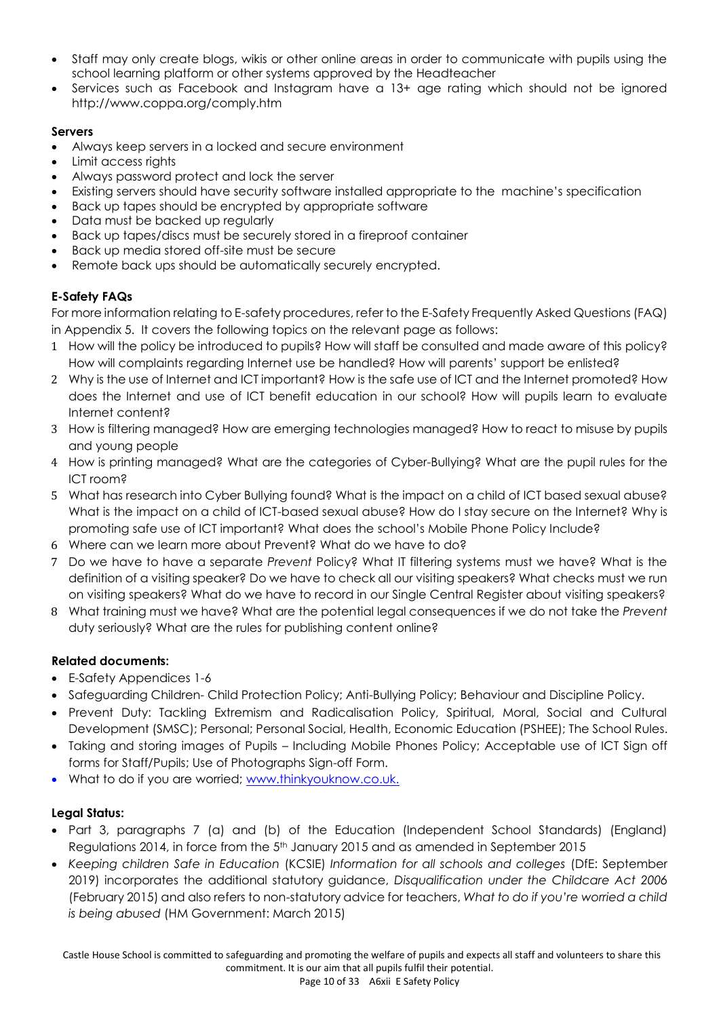- Staff may only create blogs, wikis or other online areas in order to communicate with pupils using the school learning platform or other systems approved by the Headteacher
- Services such as Facebook and Instagram have a 13+ age rating which should not be ignored <http://www.coppa.org/comply.htm>

# **Servers**

- Always keep servers in a locked and secure environment
- Limit access rights
- Always password protect and lock the server
- Existing servers should have security software installed appropriate to the machine's specification
- Back up tapes should be encrypted by appropriate software
- Data must be backed up regularly
- Back up tapes/discs must be securely stored in a fireproof container
- Back up media stored off-site must be secure
- Remote back ups should be automatically securely encrypted.

# **E-Safety FAQs**

For more information relating to E-safety procedures, refer to the E-Safety Frequently Asked Questions (FAQ) in Appendix 5. It covers the following topics on the relevant page as follows:

- 1 How will the policy be introduced to pupils? How will staff be consulted and made aware of this policy? How will complaints regarding Internet use be handled? How will parents' support be enlisted?
- 2 Why is the use of Internet and ICT important? How is the safe use of ICT and the Internet promoted? How does the Internet and use of ICT benefit education in our school? How will pupils learn to evaluate Internet content?
- 3 How is filtering managed? How are emerging technologies managed? How to react to misuse by pupils and young people
- 4 How is printing managed? What are the categories of Cyber-Bullying? What are the pupil rules for the ICT room?
- 5 What has research into Cyber Bullying found? What is the impact on a child of ICT based sexual abuse? What is the impact on a child of ICT-based sexual abuse? How do I stay secure on the Internet? Why is promoting safe use of ICT important? What does the school's Mobile Phone Policy Include?
- 6 Where can we learn more about Prevent? What do we have to do?
- 7 Do we have to have a separate *Prevent* Policy? What IT filtering systems must we have? What is the definition of a visiting speaker? Do we have to check all our visiting speakers? What checks must we run on visiting speakers? What do we have to record in our Single Central Register about visiting speakers?
- 8 What training must we have? What are the potential legal consequences if we do not take the *Prevent*  duty seriously? What are the rules for publishing content online?

# **Related documents:**

- E-Safety Appendices 1-6
- Safeguarding Children- Child Protection Policy; Anti-Bullying Policy; Behaviour and Discipline Policy.
- Prevent Duty: Tackling Extremism and Radicalisation Policy, Spiritual, Moral, Social and Cultural Development (SMSC); Personal; Personal Social, Health, Economic Education (PSHEE); The School Rules.
- Taking and storing images of Pupils Including Mobile Phones Policy; Acceptable use of ICT Sign off forms for Staff/Pupils; Use of Photographs Sign-off Form.
- What to do if you are worried; [www.thinkyouknow.co.uk.](http://www.thinkyouknow.co.uk/)

# **Legal Status:**

- Part 3, paragraphs 7 (a) and (b) of the Education (Independent School Standards) (England) Regulations 2014, in force from the 5th January 2015 and as amended in September 2015
- *Keeping children Safe in Education* (KCSIE) *Information for all schools and colleges* (DfE: September 2019) incorporates the additional statutory guidance, *Disqualification under the Childcare Act 2006* (February 2015) and also refers to non-statutory advice for teachers, *What to do if you're worried a child is being abused* (HM Government: March 2015)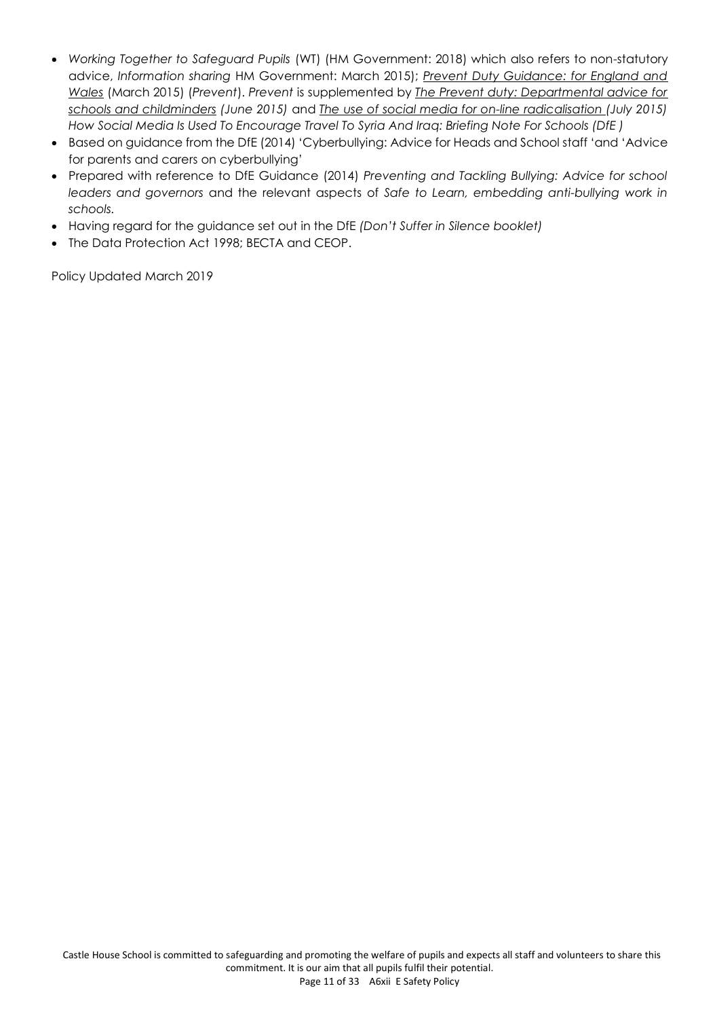- *Working Together to Safeguard Pupils* (WT) (HM Government: 2018) which also refers to non-statutory advice, *Information sharing* HM Government: March 2015); *Prevent Duty Guidance: for England and Wales* (March 2015) (*Prevent*). *Prevent* is supplemented by *The Prevent duty: Departmental advice for schools and childminders (June 2015)* and *The use of social media for on-line radicalisation (July 2015) How Social Media Is Used To Encourage Travel To Syria And Iraq: Briefing Note For Schools (DfE )*
- Based on guidance from the DfE (2014) 'Cyberbullying: Advice for Heads and School staff 'and 'Advice for parents and carers on cyberbullying'
- Prepared with reference to DfE Guidance (2014) *Preventing and Tackling Bullying: Advice for school leaders and governors* and the relevant aspects of *Safe to Learn, embedding anti-bullying work in schools.*
- Having regard for the guidance set out in the DfE *(Don't Suffer in Silence booklet)*
- The Data Protection Act 1998; BECTA and CEOP.

Policy Updated March 2019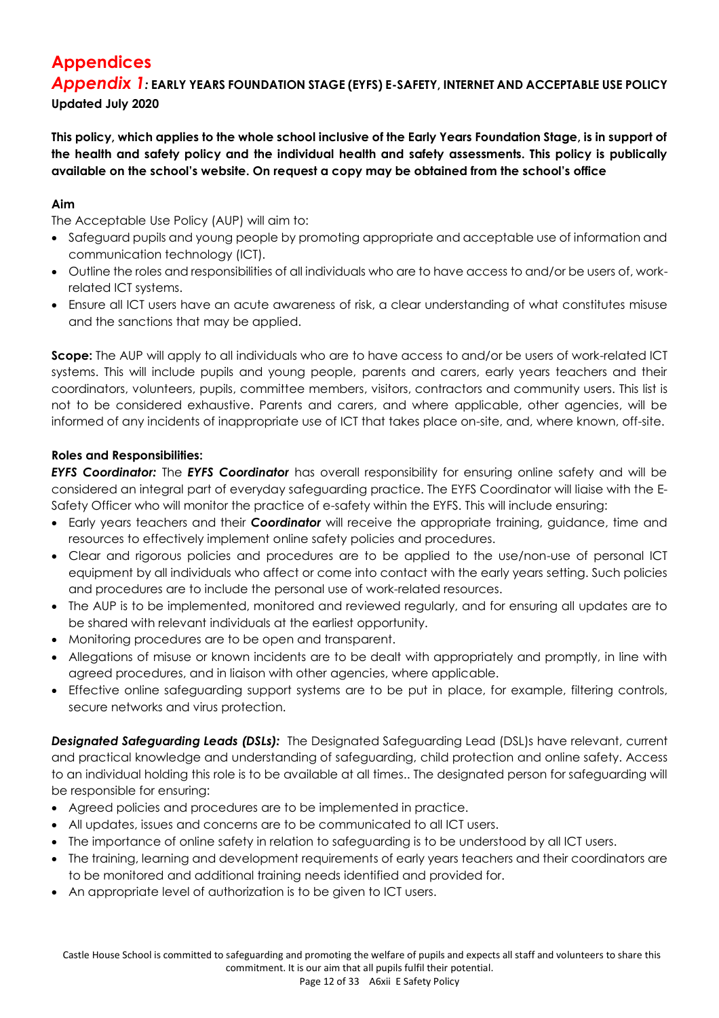# **Appendices**

*Appendix 1:* **EARLY YEARS FOUNDATION STAGE (EYFS) E-SAFETY, INTERNET AND ACCEPTABLE USE POLICY Updated July 2020**

**This policy, which applies to the whole school inclusive of the Early Years Foundation Stage, is in support of the health and safety policy and the individual health and safety assessments. This policy is publically available on the school's website. On request a copy may be obtained from the school's office** 

# **Aim**

The Acceptable Use Policy (AUP) will aim to:

- Safeguard pupils and young people by promoting appropriate and acceptable use of information and communication technology (ICT).
- Outline the roles and responsibilities of all individuals who are to have access to and/or be users of, workrelated ICT systems.
- Ensure all ICT users have an acute awareness of risk, a clear understanding of what constitutes misuse and the sanctions that may be applied.

**Scope:** The AUP will apply to all individuals who are to have access to and/or be users of work-related ICT systems. This will include pupils and young people, parents and carers, early years teachers and their coordinators, volunteers, pupils, committee members, visitors, contractors and community users. This list is not to be considered exhaustive. Parents and carers, and where applicable, other agencies, will be informed of any incidents of inappropriate use of ICT that takes place on-site, and, where known, off-site.

# **Roles and Responsibilities:**

*EYFS Coordinator:* The *EYFS Coordinator* has overall responsibility for ensuring online safety and will be considered an integral part of everyday safeguarding practice. The EYFS Coordinator will liaise with the E-Safety Officer who will monitor the practice of e-safety within the EYFS. This will include ensuring:

- Early years teachers and their *Coordinator* will receive the appropriate training, guidance, time and resources to effectively implement online safety policies and procedures.
- Clear and rigorous policies and procedures are to be applied to the use/non-use of personal ICT equipment by all individuals who affect or come into contact with the early years setting. Such policies and procedures are to include the personal use of work-related resources.
- The AUP is to be implemented, monitored and reviewed regularly, and for ensuring all updates are to be shared with relevant individuals at the earliest opportunity.
- Monitoring procedures are to be open and transparent.
- Allegations of misuse or known incidents are to be dealt with appropriately and promptly, in line with agreed procedures, and in liaison with other agencies, where applicable.
- Effective online safeguarding support systems are to be put in place, for example, filtering controls, secure networks and virus protection.

**Designated Safeguarding Leads (DSLs):** The Designated Safeguarding Lead (DSL)s have relevant, current and practical knowledge and understanding of safeguarding, child protection and online safety. Access to an individual holding this role is to be available at all times.. The designated person for safeguarding will be responsible for ensuring:

- Agreed policies and procedures are to be implemented in practice.
- All updates, issues and concerns are to be communicated to all ICT users.
- The importance of online safety in relation to safeguarding is to be understood by all ICT users.
- The training, learning and development requirements of early years teachers and their coordinators are to be monitored and additional training needs identified and provided for.
- An appropriate level of authorization is to be given to ICT users.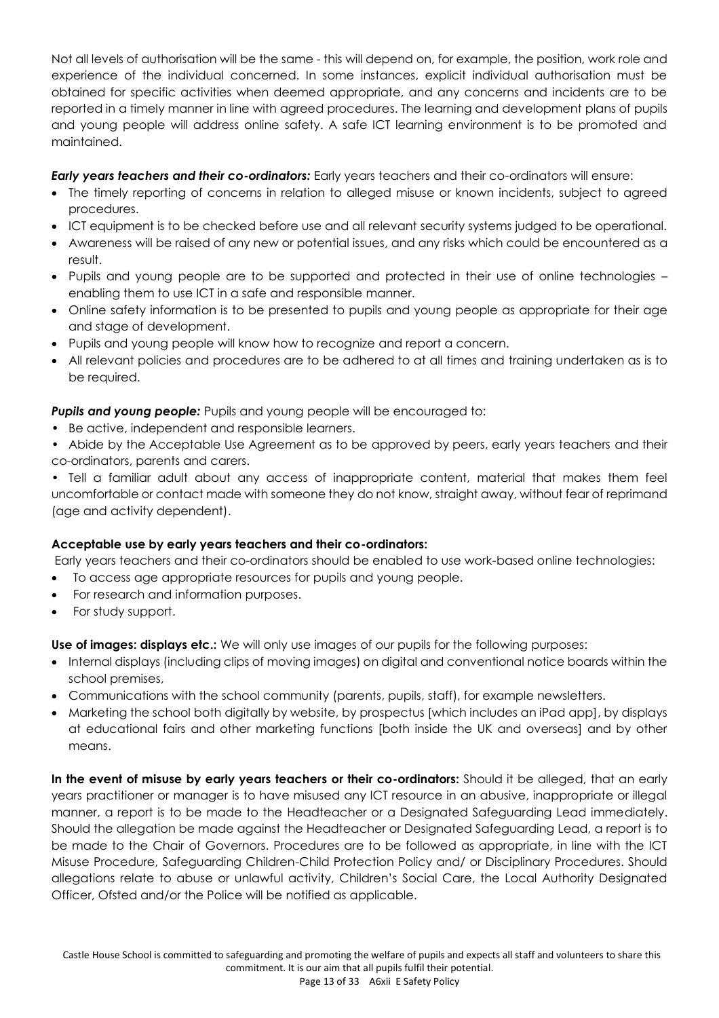Not all levels of authorisation will be the same - this will depend on, for example, the position, work role and experience of the individual concerned. In some instances, explicit individual authorisation must be obtained for specific activities when deemed appropriate, and any concerns and incidents are to be reported in a timely manner in line with agreed procedures. The learning and development plans of pupils and young people will address online safety. A safe ICT learning environment is to be promoted and maintained.

# *Early years teachers and their co-ordinators:* Early years teachers and their co-ordinators will ensure:

- The timely reporting of concerns in relation to alleged misuse or known incidents, subject to agreed procedures.
- ICT equipment is to be checked before use and all relevant security systems judged to be operational.
- Awareness will be raised of any new or potential issues, and any risks which could be encountered as a result.
- Pupils and young people are to be supported and protected in their use of online technologies enabling them to use ICT in a safe and responsible manner.
- Online safety information is to be presented to pupils and young people as appropriate for their age and stage of development.
- Pupils and young people will know how to recognize and report a concern.
- All relevant policies and procedures are to be adhered to at all times and training undertaken as is to be required.

**Pupils and young people:** Pupils and young people will be encouraged to:

- Be active, independent and responsible learners.
- Abide by the Acceptable Use Agreement as to be approved by peers, early years teachers and their co-ordinators, parents and carers.

• Tell a familiar adult about any access of inappropriate content, material that makes them feel uncomfortable or contact made with someone they do not know, straight away, without fear of reprimand (age and activity dependent).

# **Acceptable use by early years teachers and their co-ordinators:**

Early years teachers and their co-ordinators should be enabled to use work-based online technologies:

- To access age appropriate resources for pupils and young people.
- For research and information purposes.
- For study support.

**Use of images: displays etc.:** We will only use images of our pupils for the following purposes:

- Internal displays (including clips of moving images) on digital and conventional notice boards within the school premises,
- Communications with the school community (parents, pupils, staff), for example newsletters.
- Marketing the school both digitally by website, by prospectus [which includes an iPad app], by displays at educational fairs and other marketing functions [both inside the UK and overseas] and by other means.

**In the event of misuse by early years teachers or their co-ordinators:** Should it be alleged, that an early years practitioner or manager is to have misused any ICT resource in an abusive, inappropriate or illegal manner, a report is to be made to the Headteacher or a Designated Safeguarding Lead immediately. Should the allegation be made against the Headteacher or Designated Safeguarding Lead, a report is to be made to the Chair of Governors. Procedures are to be followed as appropriate, in line with the ICT Misuse Procedure, Safeguarding Children-Child Protection Policy and/ or Disciplinary Procedures. Should allegations relate to abuse or unlawful activity, Children's Social Care, the Local Authority Designated Officer, Ofsted and/or the Police will be notified as applicable.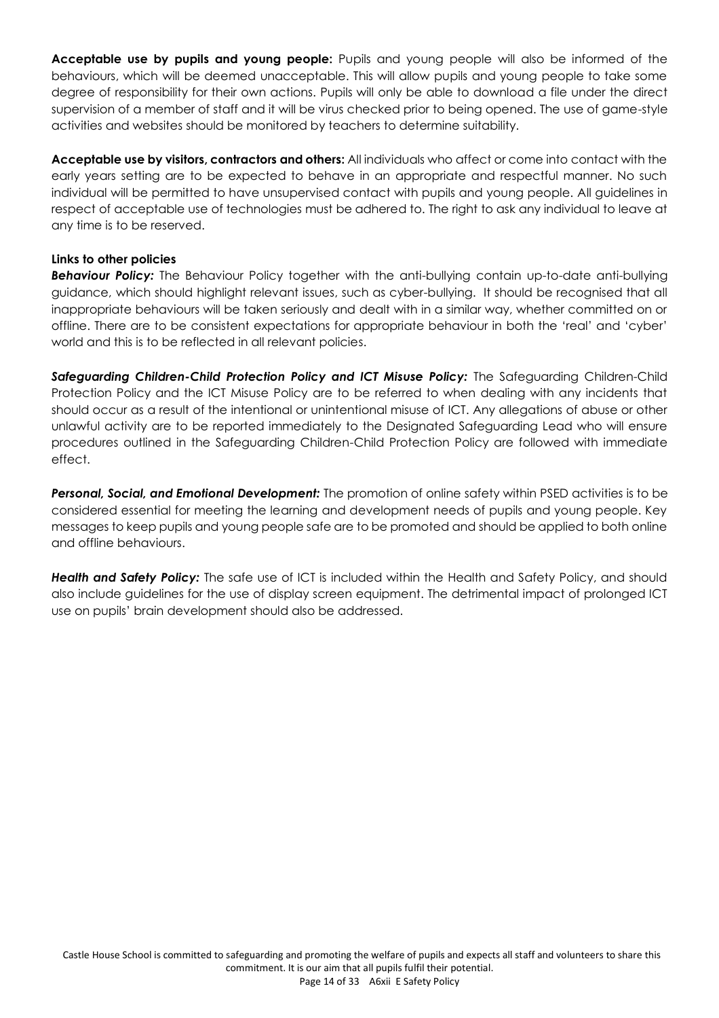**Acceptable use by pupils and young people:** Pupils and young people will also be informed of the behaviours, which will be deemed unacceptable. This will allow pupils and young people to take some degree of responsibility for their own actions. Pupils will only be able to download a file under the direct supervision of a member of staff and it will be virus checked prior to being opened. The use of game-style activities and websites should be monitored by teachers to determine suitability.

**Acceptable use by visitors, contractors and others:** All individuals who affect or come into contact with the early years setting are to be expected to behave in an appropriate and respectful manner. No such individual will be permitted to have unsupervised contact with pupils and young people. All guidelines in respect of acceptable use of technologies must be adhered to. The right to ask any individual to leave at any time is to be reserved.

# **Links to other policies**

*Behaviour Policy:* The Behaviour Policy together with the anti-bullying contain up-to-date anti-bullying guidance, which should highlight relevant issues, such as cyber-bullying. It should be recognised that all inappropriate behaviours will be taken seriously and dealt with in a similar way, whether committed on or offline. There are to be consistent expectations for appropriate behaviour in both the 'real' and 'cyber' world and this is to be reflected in all relevant policies.

Safeguarding Children-Child Protection Policy and ICT Misuse Policy: The Safeguarding Children-Child Protection Policy and the ICT Misuse Policy are to be referred to when dealing with any incidents that should occur as a result of the intentional or unintentional misuse of ICT. Any allegations of abuse or other unlawful activity are to be reported immediately to the Designated Safeguarding Lead who will ensure procedures outlined in the Safeguarding Children-Child Protection Policy are followed with immediate effect.

*Personal, Social, and Emotional Development:* The promotion of online safety within PSED activities is to be considered essential for meeting the learning and development needs of pupils and young people. Key messages to keep pupils and young people safe are to be promoted and should be applied to both online and offline behaviours.

*Health and Safety Policy:* The safe use of ICT is included within the Health and Safety Policy, and should also include guidelines for the use of display screen equipment. The detrimental impact of prolonged ICT use on pupils' brain development should also be addressed.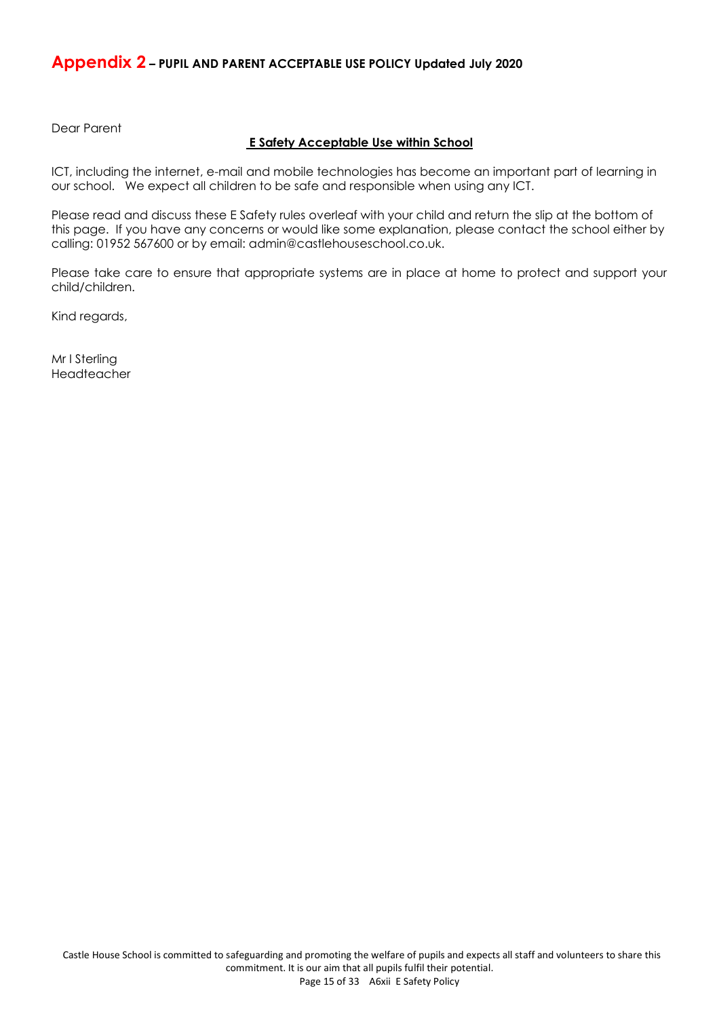# **Appendix 2 – PUPIL AND PARENT ACCEPTABLE USE POLICY Updated July 2020**

Dear Parent

#### **E Safety Acceptable Use within School**

ICT, including the internet, e-mail and mobile technologies has become an important part of learning in our school. We expect all children to be safe and responsible when using any ICT.

Please read and discuss these E Safety rules overleaf with your child and return the slip at the bottom of this page. If you have any concerns or would like some explanation, please contact the school either by calling: 01952 567600 or by email: admin@castlehouseschool.co.uk.

Please take care to ensure that appropriate systems are in place at home to protect and support your child/children.

Kind regards,

Mr I Sterling Headteacher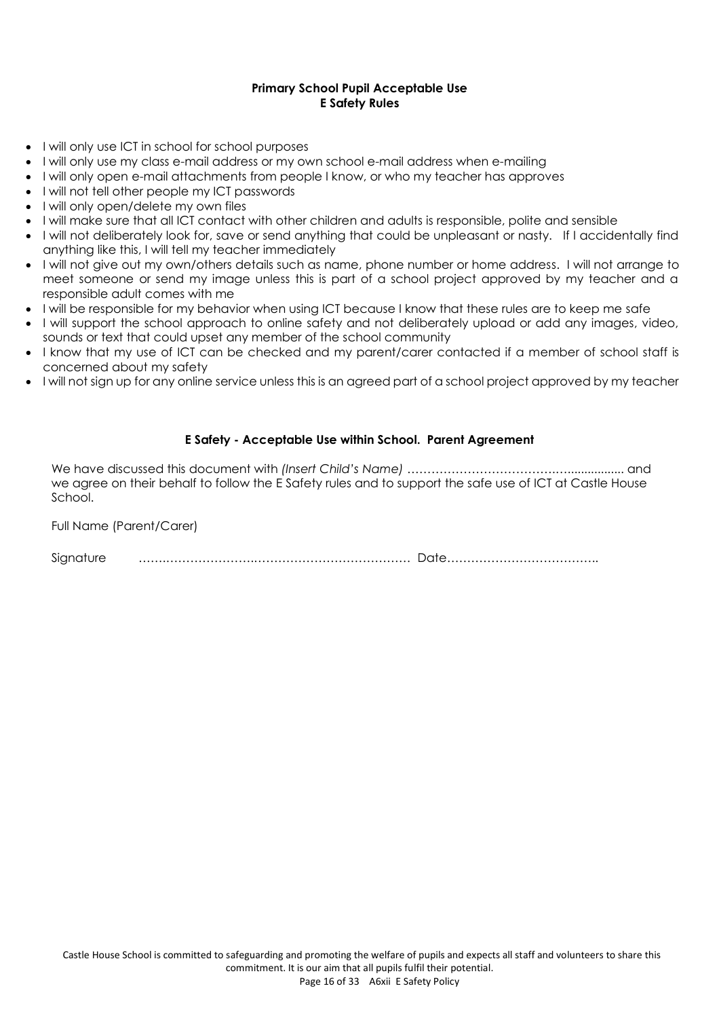#### **Primary School Pupil Acceptable Use E Safety Rules**

- I will only use ICT in school for school purposes
- I will only use my class e-mail address or my own school e-mail address when e-mailing
- I will only open e-mail attachments from people I know, or who my teacher has approves
- I will not tell other people my ICT passwords
- I will only open/delete my own files
- I will make sure that all ICT contact with other children and adults is responsible, polite and sensible
- I will not deliberately look for, save or send anything that could be unpleasant or nasty. If I accidentally find anything like this, I will tell my teacher immediately
- I will not give out my own/others details such as name, phone number or home address. I will not arrange to meet someone or send my image unless this is part of a school project approved by my teacher and a responsible adult comes with me
- I will be responsible for my behavior when using ICT because I know that these rules are to keep me safe
- I will support the school approach to online safety and not deliberately upload or add any images, video, sounds or text that could upset any member of the school community
- I know that my use of ICT can be checked and my parent/carer contacted if a member of school staff is concerned about my safety
- I will not sign up for any online service unless this is an agreed part of a school project approved by my teacher

# **E Safety - Acceptable Use within School. Parent Agreement**

We have discussed this document with *(Insert Child's Name)* ……………………………….…................. and we agree on their behalf to follow the E Safety rules and to support the safe use of ICT at Castle House School.

Full Name (Parent/Carer)

Signature …….………………….………………………………… Date………………………………..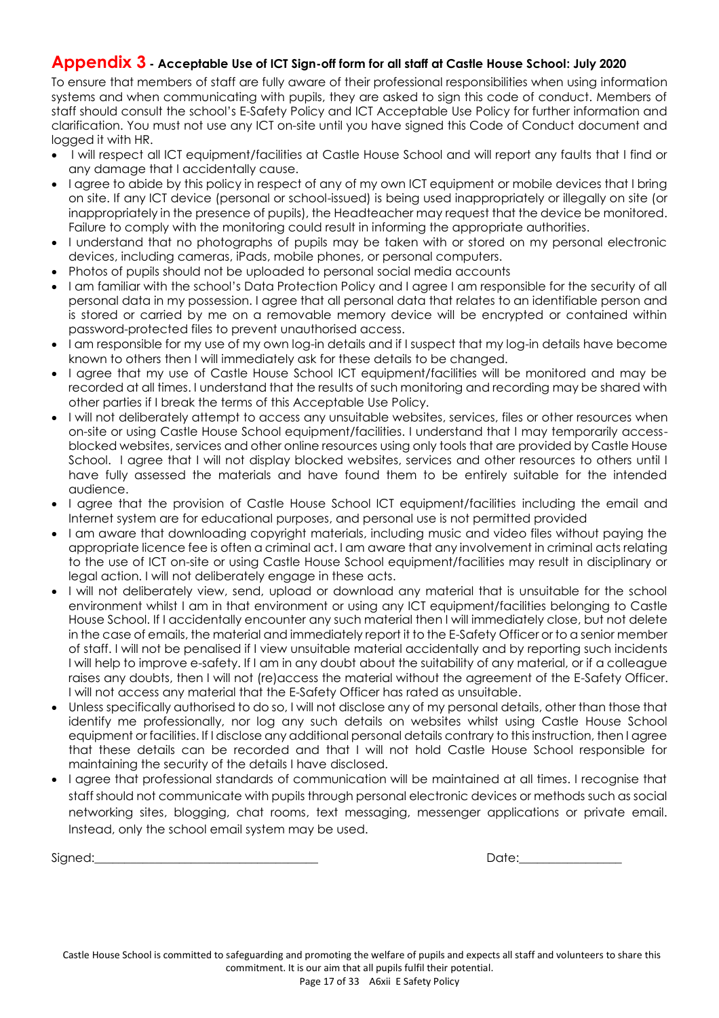# **Appendix 3 - Acceptable Use of ICT Sign-off form for all staff at Castle House School: July 2020**

To ensure that members of staff are fully aware of their professional responsibilities when using information systems and when communicating with pupils, they are asked to sign this code of conduct. Members of staff should consult the school's E-Safety Policy and ICT Acceptable Use Policy for further information and clarification. You must not use any ICT on-site until you have signed this Code of Conduct document and logged it with HR.

- I will respect all ICT equipment/facilities at Castle House School and will report any faults that I find or any damage that I accidentally cause.
- I agree to abide by this policy in respect of any of my own ICT equipment or mobile devices that I bring on site. If any ICT device (personal or school-issued) is being used inappropriately or illegally on site (or inappropriately in the presence of pupils), the Headteacher may request that the device be monitored. Failure to comply with the monitoring could result in informing the appropriate authorities.
- I understand that no photographs of pupils may be taken with or stored on my personal electronic devices, including cameras, iPads, mobile phones, or personal computers.
- Photos of pupils should not be uploaded to personal social media accounts
- I am familiar with the school's Data Protection Policy and I agree I am responsible for the security of all personal data in my possession. I agree that all personal data that relates to an identifiable person and is stored or carried by me on a removable memory device will be encrypted or contained within password-protected files to prevent unauthorised access.
- I am responsible for my use of my own log-in details and if I suspect that my log-in details have become known to others then I will immediately ask for these details to be changed.
- I agree that my use of Castle House School ICT equipment/facilities will be monitored and may be recorded at all times. I understand that the results of such monitoring and recording may be shared with other parties if I break the terms of this Acceptable Use Policy.
- I will not deliberately attempt to access any unsuitable websites, services, files or other resources when on-site or using Castle House School equipment/facilities. I understand that I may temporarily accessblocked websites, services and other online resources using only tools that are provided by Castle House School. I agree that I will not display blocked websites, services and other resources to others until I have fully assessed the materials and have found them to be entirely suitable for the intended audience.
- I agree that the provision of Castle House School ICT equipment/facilities including the email and Internet system are for educational purposes, and personal use is not permitted provided
- I am aware that downloading copyright materials, including music and video files without paying the appropriate licence fee is often a criminal act. I am aware that any involvement in criminal acts relating to the use of ICT on-site or using Castle House School equipment/facilities may result in disciplinary or legal action. I will not deliberately engage in these acts.
- I will not deliberately view, send, upload or download any material that is unsuitable for the school environment whilst I am in that environment or using any ICT equipment/facilities belonging to Castle House School. If I accidentally encounter any such material then I will immediately close, but not delete in the case of emails, the material and immediately report it to the E-Safety Officer or to a senior member of staff. I will not be penalised if I view unsuitable material accidentally and by reporting such incidents I will help to improve e-safety. If I am in any doubt about the suitability of any material, or if a colleague raises any doubts, then I will not (re)access the material without the agreement of the E-Safety Officer. I will not access any material that the E-Safety Officer has rated as unsuitable.
- Unless specifically authorised to do so, I will not disclose any of my personal details, other than those that identify me professionally, nor log any such details on websites whilst using Castle House School equipment or facilities. If I disclose any additional personal details contrary to this instruction, then I agree that these details can be recorded and that I will not hold Castle House School responsible for maintaining the security of the details I have disclosed.
- I agree that professional standards of communication will be maintained at all times. I recognise that staff should not communicate with pupils through personal electronic devices or methods such as social networking sites, blogging, chat rooms, text messaging, messenger applications or private email. Instead, only the school email system may be used.

Signed:\_\_\_\_\_\_\_\_\_\_\_\_\_\_\_\_\_\_\_\_\_\_\_\_\_\_\_\_\_\_\_\_\_\_\_\_\_ Date:\_\_\_\_\_\_\_\_\_\_\_\_\_\_\_\_\_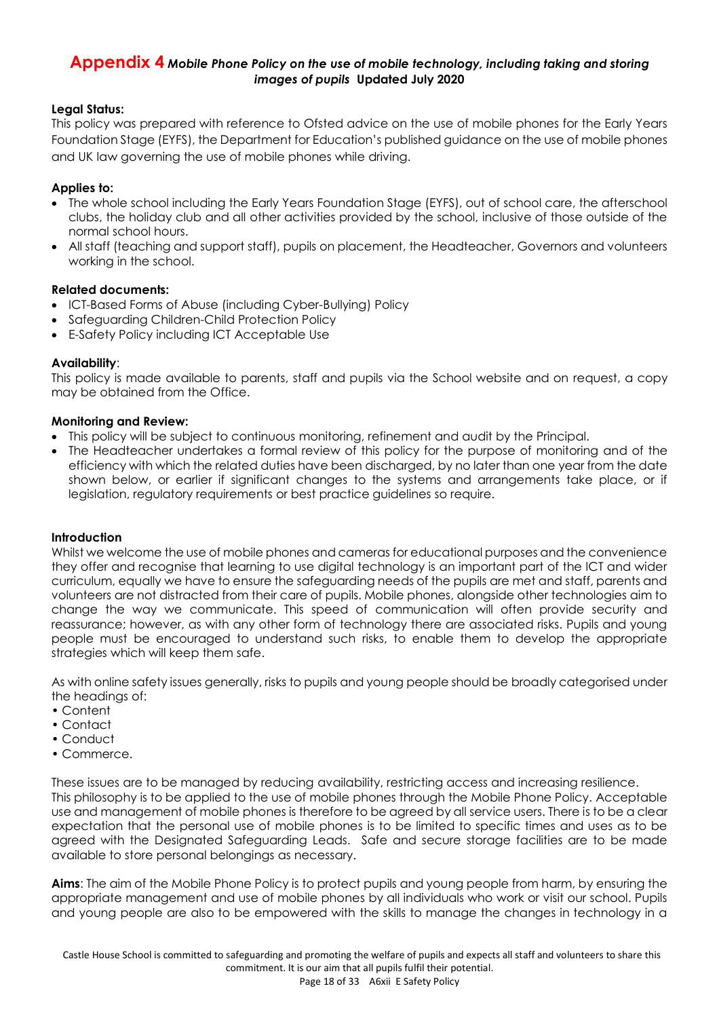# **Appendix 4** *Mobile Phone Policy on the use of mobile technology, including taking and storing images of pupils* **Updated July 2020**

# **Legal Status:**

This policy was prepared with reference to Ofsted advice on the use of mobile phones for the Early Years Foundation Stage (EYFS), the Department for Education's published guidance on the use of mobile phones and UK law governing the use of mobile phones while driving.

# **Applies to:**

- The whole school including the Early Years Foundation Stage (EYFS), out of school care, the afterschool clubs, the holiday club and all other activities provided by the school, inclusive of those outside of the normal school hours.
- All staff (teaching and support staff), pupils on placement, the Headteacher, Governors and volunteers working in the school.

# **Related documents:**

- ICT-Based Forms of Abuse (including Cyber-Bullying) Policy
- Safeguarding Children-Child Protection Policy
- E-Safety Policy including ICT Acceptable Use

#### **Availability**:

This policy is made available to parents, staff and pupils via the School website and on request, a copy may be obtained from the Office.

#### **Monitoring and Review:**

- This policy will be subject to continuous monitoring, refinement and audit by the Principal.
- The Headteacher undertakes a formal review of this policy for the purpose of monitoring and of the efficiency with which the related duties have been discharged, by no later than one year from the date shown below, or earlier if significant changes to the systems and arrangements take place, or if legislation, regulatory requirements or best practice guidelines so require.

#### **Introduction**

Whilst we welcome the use of mobile phones and cameras for educational purposes and the convenience they offer and recognise that learning to use digital technology is an important part of the ICT and wider curriculum, equally we have to ensure the safeguarding needs of the pupils are met and staff, parents and volunteers are not distracted from their care of pupils. Mobile phones, alongside other technologies aim to change the way we communicate. This speed of communication will often provide security and reassurance; however, as with any other form of technology there are associated risks. Pupils and young people must be encouraged to understand such risks, to enable them to develop the appropriate strategies which will keep them safe.

As with online safety issues generally, risks to pupils and young people should be broadly categorised under the headings of:

- Content
- Contact
- Conduct
- Commerce.

These issues are to be managed by reducing availability, restricting access and increasing resilience. This philosophy is to be applied to the use of mobile phones through the Mobile Phone Policy. Acceptable use and management of mobile phones is therefore to be agreed by all service users. There is to be a clear expectation that the personal use of mobile phones is to be limited to specific times and uses as to be agreed with the Designated Safeguarding Leads. Safe and secure storage facilities are to be made available to store personal belongings as necessary.

**Aims**: The aim of the Mobile Phone Policy is to protect pupils and young people from harm, by ensuring the appropriate management and use of mobile phones by all individuals who work or visit our school. Pupils and young people are also to be empowered with the skills to manage the changes in technology in a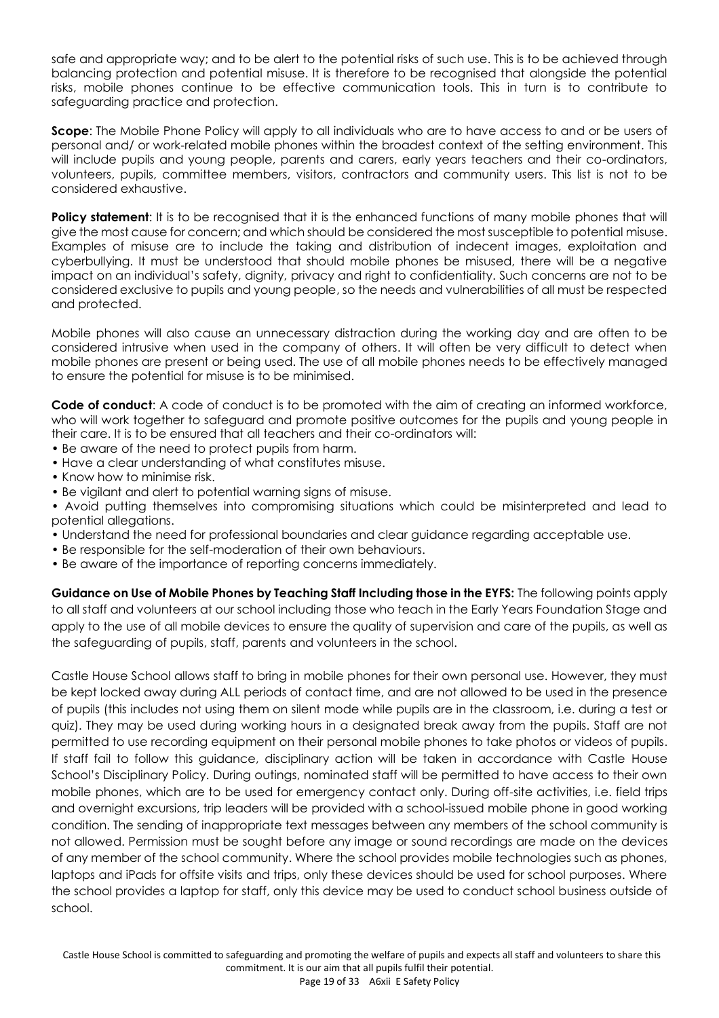safe and appropriate way; and to be alert to the potential risks of such use. This is to be achieved through balancing protection and potential misuse. It is therefore to be recognised that alongside the potential risks, mobile phones continue to be effective communication tools. This in turn is to contribute to safeguarding practice and protection.

**Scope**: The Mobile Phone Policy will apply to all individuals who are to have access to and or be users of personal and/ or work-related mobile phones within the broadest context of the setting environment. This will include pupils and young people, parents and carers, early years teachers and their co-ordinators, volunteers, pupils, committee members, visitors, contractors and community users. This list is not to be considered exhaustive.

**Policy statement:** It is to be recognised that it is the enhanced functions of many mobile phones that will give the most cause for concern; and which should be considered the most susceptible to potential misuse. Examples of misuse are to include the taking and distribution of indecent images, exploitation and cyberbullying. It must be understood that should mobile phones be misused, there will be a negative impact on an individual's safety, dignity, privacy and right to confidentiality. Such concerns are not to be considered exclusive to pupils and young people, so the needs and vulnerabilities of all must be respected and protected.

Mobile phones will also cause an unnecessary distraction during the working day and are often to be considered intrusive when used in the company of others. It will often be very difficult to detect when mobile phones are present or being used. The use of all mobile phones needs to be effectively managed to ensure the potential for misuse is to be minimised.

**Code of conduct**: A code of conduct is to be promoted with the aim of creating an informed workforce, who will work together to safeguard and promote positive outcomes for the pupils and young people in their care. It is to be ensured that all teachers and their co-ordinators will:

- Be aware of the need to protect pupils from harm.
- Have a clear understanding of what constitutes misuse.
- Know how to minimise risk.
- Be vigilant and alert to potential warning signs of misuse.

• Avoid putting themselves into compromising situations which could be misinterpreted and lead to potential allegations.

- Understand the need for professional boundaries and clear guidance regarding acceptable use.
- Be responsible for the self-moderation of their own behaviours.
- Be aware of the importance of reporting concerns immediately.

**Guidance on Use of Mobile Phones by Teaching Staff Including those in the EYFS:** The following points apply to all staff and volunteers at our school including those who teach in the Early Years Foundation Stage and apply to the use of all mobile devices to ensure the quality of supervision and care of the pupils, as well as the safeguarding of pupils, staff, parents and volunteers in the school.

Castle House School allows staff to bring in mobile phones for their own personal use. However, they must be kept locked away during ALL periods of contact time, and are not allowed to be used in the presence of pupils (this includes not using them on silent mode while pupils are in the classroom, i.e. during a test or quiz). They may be used during working hours in a designated break away from the pupils. Staff are not permitted to use recording equipment on their personal mobile phones to take photos or videos of pupils. If staff fail to follow this guidance, disciplinary action will be taken in accordance with Castle House School's Disciplinary Policy. During outings, nominated staff will be permitted to have access to their own mobile phones, which are to be used for emergency contact only. During off-site activities, i.e. field trips and overnight excursions, trip leaders will be provided with a school-issued mobile phone in good working condition. The sending of inappropriate text messages between any members of the school community is not allowed. Permission must be sought before any image or sound recordings are made on the devices of any member of the school community. Where the school provides mobile technologies such as phones, laptops and iPads for offsite visits and trips, only these devices should be used for school purposes. Where the school provides a laptop for staff, only this device may be used to conduct school business outside of school.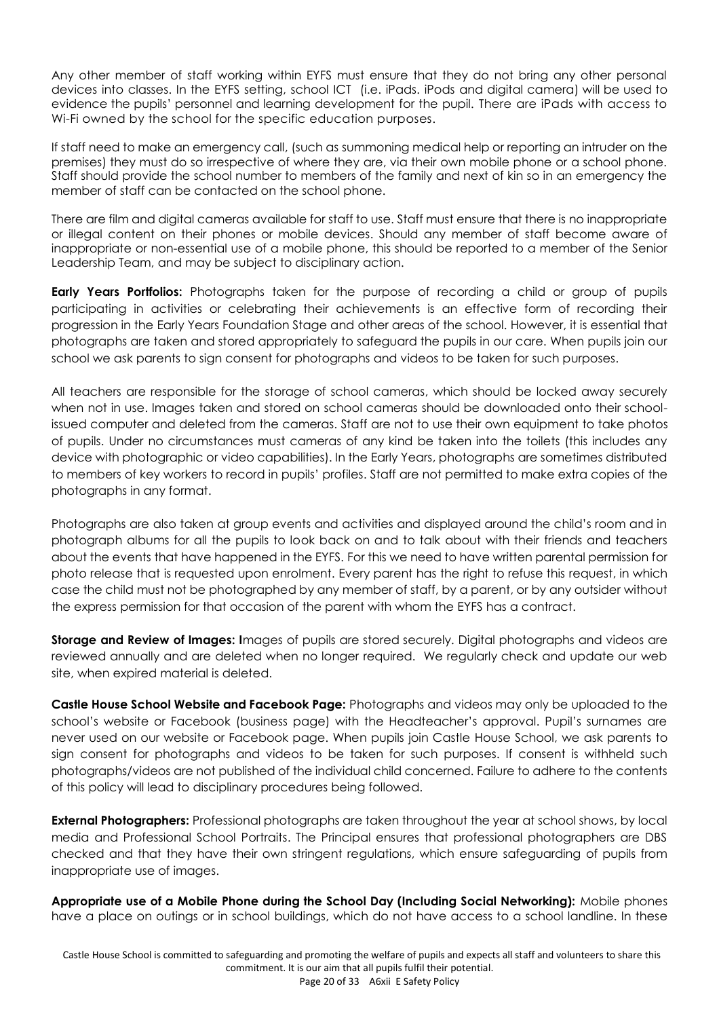Any other member of staff working within EYFS must ensure that they do not bring any other personal devices into classes. In the EYFS setting, school ICT (i.e. iPads. iPods and digital camera) will be used to evidence the pupils' personnel and learning development for the pupil. There are iPads with access to Wi-Fi owned by the school for the specific education purposes.

If staff need to make an emergency call, (such as summoning medical help or reporting an intruder on the premises) they must do so irrespective of where they are, via their own mobile phone or a school phone. Staff should provide the school number to members of the family and next of kin so in an emergency the member of staff can be contacted on the school phone.

There are film and digital cameras available for staff to use. Staff must ensure that there is no inappropriate or illegal content on their phones or mobile devices. Should any member of staff become aware of inappropriate or non-essential use of a mobile phone, this should be reported to a member of the Senior Leadership Team, and may be subject to disciplinary action.

**Early Years Portfolios:** Photographs taken for the purpose of recording a child or group of pupils participating in activities or celebrating their achievements is an effective form of recording their progression in the Early Years Foundation Stage and other areas of the school. However, it is essential that photographs are taken and stored appropriately to safeguard the pupils in our care. When pupils join our school we ask parents to sign consent for photographs and videos to be taken for such purposes.

All teachers are responsible for the storage of school cameras, which should be locked away securely when not in use. Images taken and stored on school cameras should be downloaded onto their schoolissued computer and deleted from the cameras. Staff are not to use their own equipment to take photos of pupils. Under no circumstances must cameras of any kind be taken into the toilets (this includes any device with photographic or video capabilities). In the Early Years, photographs are sometimes distributed to members of key workers to record in pupils' profiles. Staff are not permitted to make extra copies of the photographs in any format.

Photographs are also taken at group events and activities and displayed around the child's room and in photograph albums for all the pupils to look back on and to talk about with their friends and teachers about the events that have happened in the EYFS. For this we need to have written parental permission for photo release that is requested upon enrolment. Every parent has the right to refuse this request, in which case the child must not be photographed by any member of staff, by a parent, or by any outsider without the express permission for that occasion of the parent with whom the EYFS has a contract.

**Storage and Review of Images: I**mages of pupils are stored securely. Digital photographs and videos are reviewed annually and are deleted when no longer required. We regularly check and update our web site, when expired material is deleted.

**Castle House School Website and Facebook Page:** Photographs and videos may only be uploaded to the school's website or Facebook (business page) with the Headteacher's approval. Pupil's surnames are never used on our website or Facebook page. When pupils join Castle House School, we ask parents to sign consent for photographs and videos to be taken for such purposes. If consent is withheld such photographs/videos are not published of the individual child concerned. Failure to adhere to the contents of this policy will lead to disciplinary procedures being followed.

**External Photographers:** Professional photographs are taken throughout the year at school shows, by local media and Professional School Portraits. The Principal ensures that professional photographers are DBS checked and that they have their own stringent regulations, which ensure safeguarding of pupils from inappropriate use of images.

**Appropriate use of a Mobile Phone during the School Day (Including Social Networking):** Mobile phones have a place on outings or in school buildings, which do not have access to a school landline. In these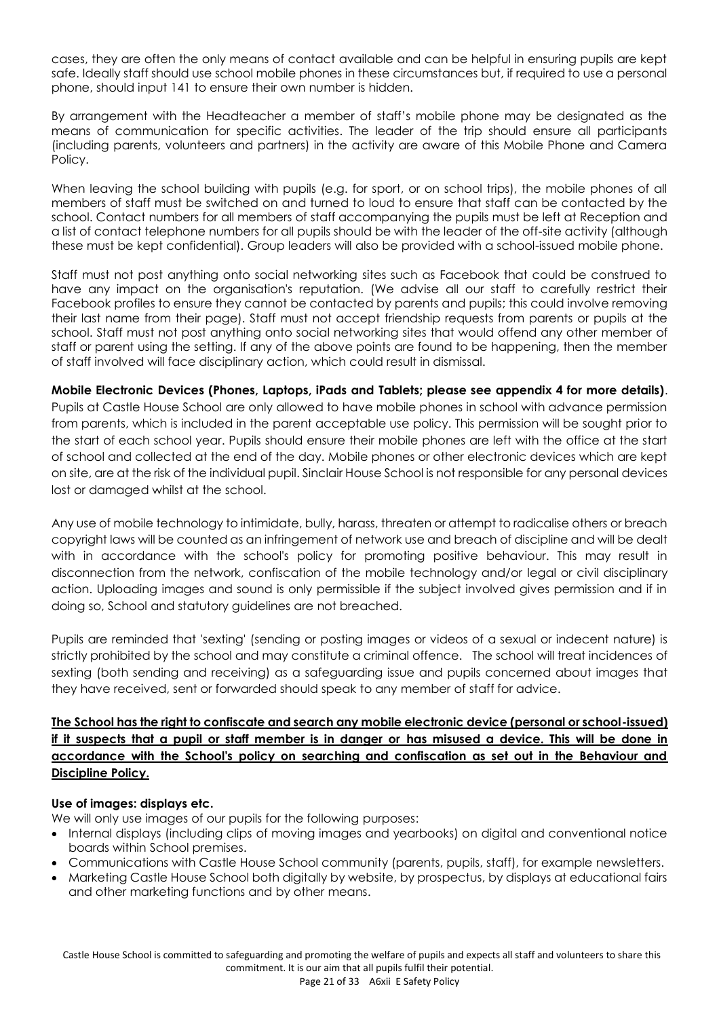cases, they are often the only means of contact available and can be helpful in ensuring pupils are kept safe. Ideally staff should use school mobile phones in these circumstances but, if required to use a personal phone, should input 141 to ensure their own number is hidden.

By arrangement with the Headteacher a member of staff's mobile phone may be designated as the means of communication for specific activities. The leader of the trip should ensure all participants (including parents, volunteers and partners) in the activity are aware of this Mobile Phone and Camera Policy.

When leaving the school building with pupils (e.g. for sport, or on school trips), the mobile phones of all members of staff must be switched on and turned to loud to ensure that staff can be contacted by the school. Contact numbers for all members of staff accompanying the pupils must be left at Reception and a list of contact telephone numbers for all pupils should be with the leader of the off-site activity (although these must be kept confidential). Group leaders will also be provided with a school-issued mobile phone.

Staff must not post anything onto social networking sites such as Facebook that could be construed to have any impact on the organisation's reputation. (We advise all our staff to carefully restrict their Facebook profiles to ensure they cannot be contacted by parents and pupils; this could involve removing their last name from their page). Staff must not accept friendship requests from parents or pupils at the school. Staff must not post anything onto social networking sites that would offend any other member of staff or parent using the setting. If any of the above points are found to be happening, then the member of staff involved will face disciplinary action, which could result in dismissal.

**Mobile Electronic Devices (Phones, Laptops, iPads and Tablets; please see appendix 4 for more details)**. Pupils at Castle House School are only allowed to have mobile phones in school with advance permission from parents, which is included in the parent acceptable use policy. This permission will be sought prior to the start of each school year. Pupils should ensure their mobile phones are left with the office at the start of school and collected at the end of the day. Mobile phones or other electronic devices which are kept on site, are at the risk of the individual pupil. Sinclair House School is not responsible for any personal devices lost or damaged whilst at the school.

Any use of mobile technology to intimidate, bully, harass, threaten or attempt to radicalise others or breach copyright laws will be counted as an infringement of network use and breach of discipline and will be dealt with in accordance with the school's policy for promoting positive behaviour. This may result in disconnection from the network, confiscation of the mobile technology and/or legal or civil disciplinary action. Uploading images and sound is only permissible if the subject involved gives permission and if in doing so, School and statutory guidelines are not breached.

Pupils are reminded that 'sexting' (sending or posting images or videos of a sexual or indecent nature) is strictly prohibited by the school and may constitute a criminal offence. The school will treat incidences of sexting (both sending and receiving) as a safeguarding issue and pupils concerned about images that they have received, sent or forwarded should speak to any member of staff for advice.

# **The School has the right to confiscate and search any mobile electronic device (personal or school-issued) if it suspects that a pupil or staff member is in danger or has misused a device. This will be done in accordance with the School's policy on searching and confiscation as set out in the Behaviour and Discipline Policy.**

# **Use of images: displays etc.**

We will only use images of our pupils for the following purposes:

- Internal displays (including clips of moving images and yearbooks) on digital and conventional notice boards within School premises.
- Communications with Castle House School community (parents, pupils, staff), for example newsletters.
- Marketing Castle House School both digitally by website, by prospectus, by displays at educational fairs and other marketing functions and by other means.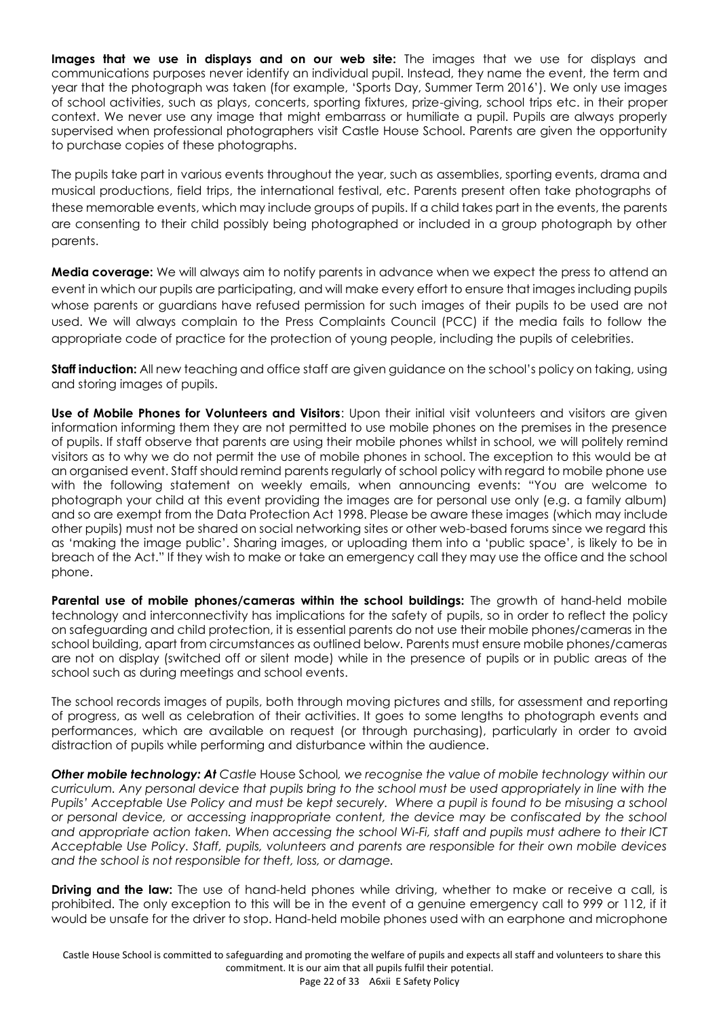**Images that we use in displays and on our web site:** The images that we use for displays and communications purposes never identify an individual pupil. Instead, they name the event, the term and year that the photograph was taken (for example, 'Sports Day, Summer Term 2016'). We only use images of school activities, such as plays, concerts, sporting fixtures, prize-giving, school trips etc. in their proper context. We never use any image that might embarrass or humiliate a pupil. Pupils are always properly supervised when professional photographers visit Castle House School. Parents are given the opportunity to purchase copies of these photographs.

The pupils take part in various events throughout the year, such as assemblies, sporting events, drama and musical productions, field trips, the international festival, etc. Parents present often take photographs of these memorable events, which may include groups of pupils. If a child takes part in the events, the parents are consenting to their child possibly being photographed or included in a group photograph by other parents.

**Media coverage:** We will always aim to notify parents in advance when we expect the press to attend an event in which our pupils are participating, and will make every effort to ensure that images including pupils whose parents or guardians have refused permission for such images of their pupils to be used are not used. We will always complain to the Press Complaints Council (PCC) if the media fails to follow the appropriate code of practice for the protection of young people, including the pupils of celebrities.

**Staff induction:** All new teaching and office staff are given guidance on the school's policy on taking, using and storing images of pupils.

**Use of Mobile Phones for Volunteers and Visitors**: Upon their initial visit volunteers and visitors are given information informing them they are not permitted to use mobile phones on the premises in the presence of pupils. If staff observe that parents are using their mobile phones whilst in school, we will politely remind visitors as to why we do not permit the use of mobile phones in school. The exception to this would be at an organised event. Staff should remind parents regularly of school policy with regard to mobile phone use with the following statement on weekly emails, when announcing events: "You are welcome to photograph your child at this event providing the images are for personal use only (e.g. a family album) and so are exempt from the Data Protection Act 1998. Please be aware these images (which may include other pupils) must not be shared on social networking sites or other web-based forums since we regard this as 'making the image public'. Sharing images, or uploading them into a 'public space', is likely to be in breach of the Act." If they wish to make or take an emergency call they may use the office and the school phone.

**Parental use of mobile phones/cameras within the school buildings:** The growth of hand-held mobile technology and interconnectivity has implications for the safety of pupils, so in order to reflect the policy on safeguarding and child protection, it is essential parents do not use their mobile phones/cameras in the school building, apart from circumstances as outlined below. Parents must ensure mobile phones/cameras are not on display (switched off or silent mode) while in the presence of pupils or in public areas of the school such as during meetings and school events.

The school records images of pupils, both through moving pictures and stills, for assessment and reporting of progress, as well as celebration of their activities. It goes to some lengths to photograph events and performances, which are available on request (or through purchasing), particularly in order to avoid distraction of pupils while performing and disturbance within the audience.

*Other mobile technology: At Castle* House School*, we recognise the value of mobile technology within our curriculum. Any personal device that pupils bring to the school must be used appropriately in line with the Pupils' Acceptable Use Policy and must be kept securely. Where a pupil is found to be misusing a school or personal device, or accessing inappropriate content, the device may be confiscated by the school and appropriate action taken. When accessing the school Wi-Fi, staff and pupils must adhere to their ICT Acceptable Use Policy. Staff, pupils, volunteers and parents are responsible for their own mobile devices and the school is not responsible for theft, loss, or damage.*

**Driving and the law:** The use of hand-held phones while driving, whether to make or receive a call, is prohibited. The only exception to this will be in the event of a genuine emergency call to 999 or 112, if it would be unsafe for the driver to stop. Hand-held mobile phones used with an earphone and microphone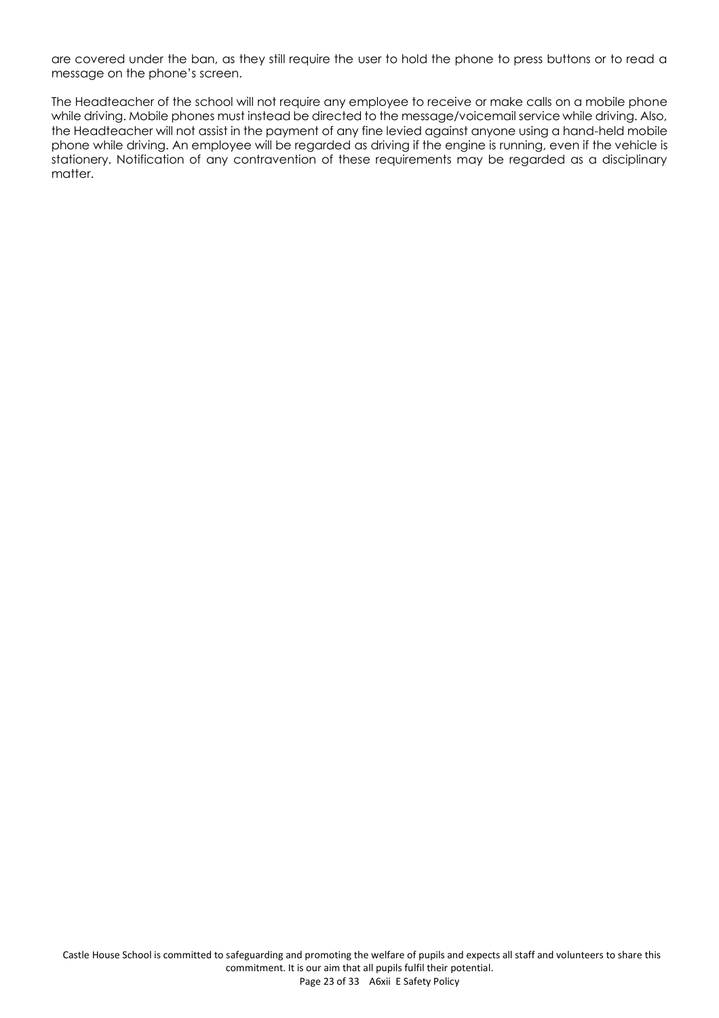are covered under the ban, as they still require the user to hold the phone to press buttons or to read a message on the phone's screen.

The Headteacher of the school will not require any employee to receive or make calls on a mobile phone while driving. Mobile phones must instead be directed to the message/voicemail service while driving. Also, the Headteacher will not assist in the payment of any fine levied against anyone using a hand-held mobile phone while driving. An employee will be regarded as driving if the engine is running, even if the vehicle is stationery. Notification of any contravention of these requirements may be regarded as a disciplinary matter.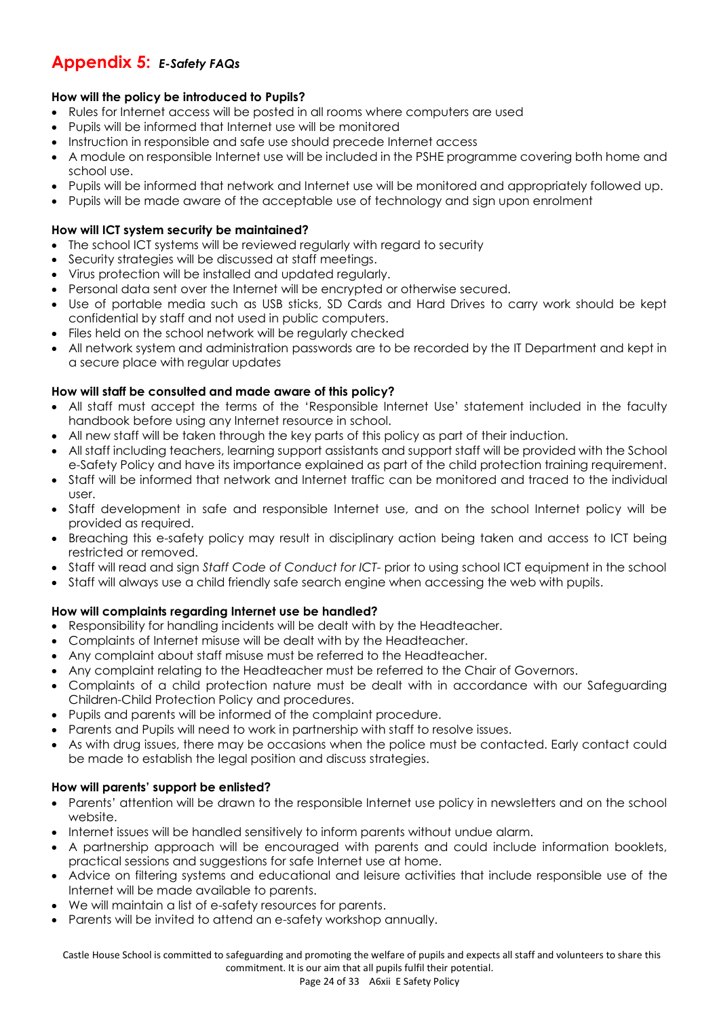# **Appendix 5:** *E-Safety FAQs*

# **How will the policy be introduced to Pupils?**

- Rules for Internet access will be posted in all rooms where computers are used
- Pupils will be informed that Internet use will be monitored
- Instruction in responsible and safe use should precede Internet access
- A module on responsible Internet use will be included in the PSHE programme covering both home and school use.
- Pupils will be informed that network and Internet use will be monitored and appropriately followed up.
- Pupils will be made aware of the acceptable use of technology and sign upon enrolment

# **How will ICT system security be maintained?**

- The school ICT systems will be reviewed regularly with regard to security
- Security strategies will be discussed at staff meetings.
- Virus protection will be installed and updated regularly.
- Personal data sent over the Internet will be encrypted or otherwise secured.
- Use of portable media such as USB sticks, SD Cards and Hard Drives to carry work should be kept confidential by staff and not used in public computers.
- Files held on the school network will be regularly checked
- All network system and administration passwords are to be recorded by the IT Department and kept in a secure place with regular updates

# **How will staff be consulted and made aware of this policy?**

- All staff must accept the terms of the 'Responsible Internet Use' statement included in the faculty handbook before using any Internet resource in school.
- All new staff will be taken through the key parts of this policy as part of their induction.
- All staff including teachers, learning support assistants and support staff will be provided with the School e-Safety Policy and have its importance explained as part of the child protection training requirement.
- Staff will be informed that network and Internet traffic can be monitored and traced to the individual user.
- Staff development in safe and responsible Internet use, and on the school Internet policy will be provided as required.
- Breaching this e-safety policy may result in disciplinary action being taken and access to ICT being restricted or removed.
- Staff will read and sign *Staff Code of Conduct for ICT-* prior to using school ICT equipment in the school
- Staff will always use a child friendly safe search engine when accessing the web with pupils.

# **How will complaints regarding Internet use be handled?**

- Responsibility for handling incidents will be dealt with by the Headteacher.
- Complaints of Internet misuse will be dealt with by the Headteacher.
- Any complaint about staff misuse must be referred to the Headteacher.
- Any complaint relating to the Headteacher must be referred to the Chair of Governors.
- Complaints of a child protection nature must be dealt with in accordance with our Safeguarding Children-Child Protection Policy and procedures.
- Pupils and parents will be informed of the complaint procedure.
- Parents and Pupils will need to work in partnership with staff to resolve issues.
- As with drug issues, there may be occasions when the police must be contacted. Early contact could be made to establish the legal position and discuss strategies.

# **How will parents' support be enlisted?**

- Parents' attention will be drawn to the responsible Internet use policy in newsletters and on the school website.
- Internet issues will be handled sensitively to inform parents without undue alarm.
- A partnership approach will be encouraged with parents and could include information booklets, practical sessions and suggestions for safe Internet use at home.
- Advice on filtering systems and educational and leisure activities that include responsible use of the Internet will be made available to parents.
- We will maintain a list of e-safety resources for parents.
- Parents will be invited to attend an e-safety workshop annually.

 Castle House School is committed to safeguarding and promoting the welfare of pupils and expects all staff and volunteers to share this commitment. It is our aim that all pupils fulfil their potential.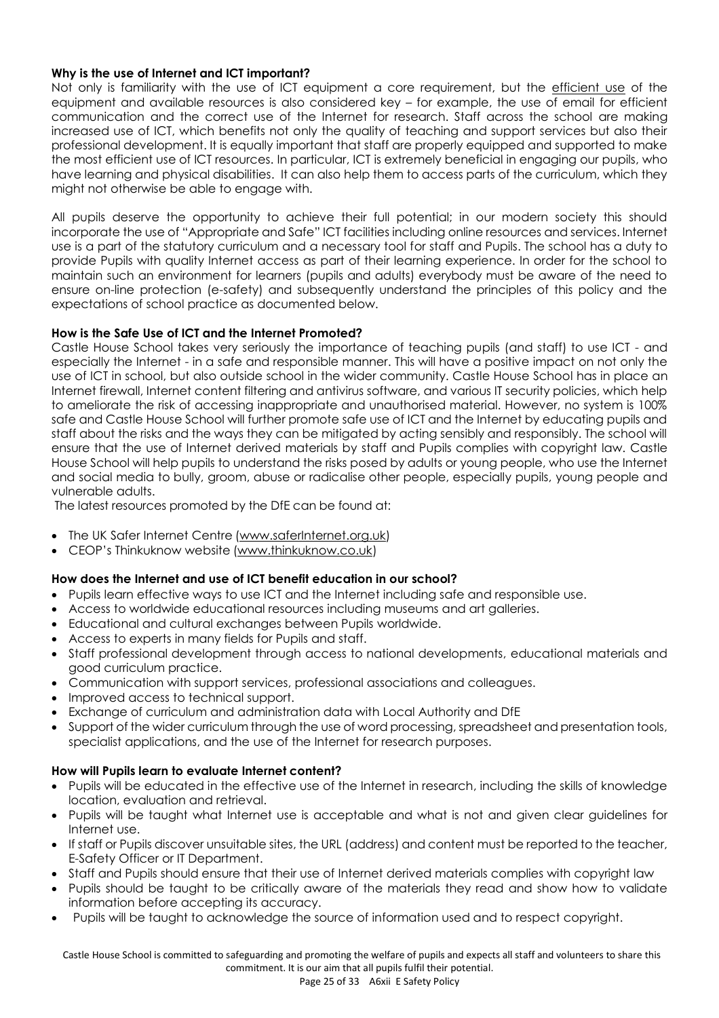#### **Why is the use of Internet and ICT important?**

Not only is familiarity with the use of ICT equipment a core requirement, but the efficient use of the equipment and available resources is also considered key – for example, the use of email for efficient communication and the correct use of the Internet for research. Staff across the school are making increased use of ICT, which benefits not only the quality of teaching and support services but also their professional development. It is equally important that staff are properly equipped and supported to make the most efficient use of ICT resources. In particular, ICT is extremely beneficial in engaging our pupils, who have learning and physical disabilities. It can also help them to access parts of the curriculum, which they might not otherwise be able to engage with.

All pupils deserve the opportunity to achieve their full potential; in our modern society this should incorporate the use of "Appropriate and Safe" ICT facilities including online resources and services. Internet use is a part of the statutory curriculum and a necessary tool for staff and Pupils. The school has a duty to provide Pupils with quality Internet access as part of their learning experience. In order for the school to maintain such an environment for learners (pupils and adults) everybody must be aware of the need to ensure on-line protection (e-safety) and subsequently understand the principles of this policy and the expectations of school practice as documented below.

#### **How is the Safe Use of ICT and the Internet Promoted?**

Castle House School takes very seriously the importance of teaching pupils (and staff) to use ICT - and especially the Internet - in a safe and responsible manner. This will have a positive impact on not only the use of ICT in school, but also outside school in the wider community. Castle House School has in place an Internet firewall, Internet content filtering and antivirus software, and various IT security policies, which help to ameliorate the risk of accessing inappropriate and unauthorised material. However, no system is 100% safe and Castle House School will further promote safe use of ICT and the Internet by educating pupils and staff about the risks and the ways they can be mitigated by acting sensibly and responsibly. The school will ensure that the use of Internet derived materials by staff and Pupils complies with copyright law. Castle House School will help pupils to understand the risks posed by adults or young people, who use the Internet and social media to bully, groom, abuse or radicalise other people, especially pupils, young people and vulnerable adults.

The latest resources promoted by the DfE can be found at:

- The UK Safer Internet Centre [\(www.saferInternet.org.uk\)](http://www.saferinternet.org.uk/)
- CEOP's Thinkuknow website [\(www.thinkuknow.co.uk\)](http://www.thinkuknow.co.uk/)

# **How does the Internet and use of ICT benefit education in our school?**

- Pupils learn effective ways to use ICT and the Internet including safe and responsible use.
- Access to worldwide educational resources including museums and art galleries.
- Educational and cultural exchanges between Pupils worldwide.
- Access to experts in many fields for Pupils and staff.
- Staff professional development through access to national developments, educational materials and good curriculum practice.
- Communication with support services, professional associations and colleagues.
- Improved access to technical support.
- Exchange of curriculum and administration data with Local Authority and DfE
- Support of the wider curriculum through the use of word processing, spreadsheet and presentation tools, specialist applications, and the use of the Internet for research purposes.

# **How will Pupils learn to evaluate Internet content?**

- Pupils will be educated in the effective use of the Internet in research, including the skills of knowledge location, evaluation and retrieval.
- Pupils will be taught what Internet use is acceptable and what is not and given clear guidelines for Internet use.
- If staff or Pupils discover unsuitable sites, the URL (address) and content must be reported to the teacher, E-Safety Officer or IT Department.
- Staff and Pupils should ensure that their use of Internet derived materials complies with copyright law
- Pupils should be taught to be critically aware of the materials they read and show how to validate information before accepting its accuracy.
- Pupils will be taught to acknowledge the source of information used and to respect copyright.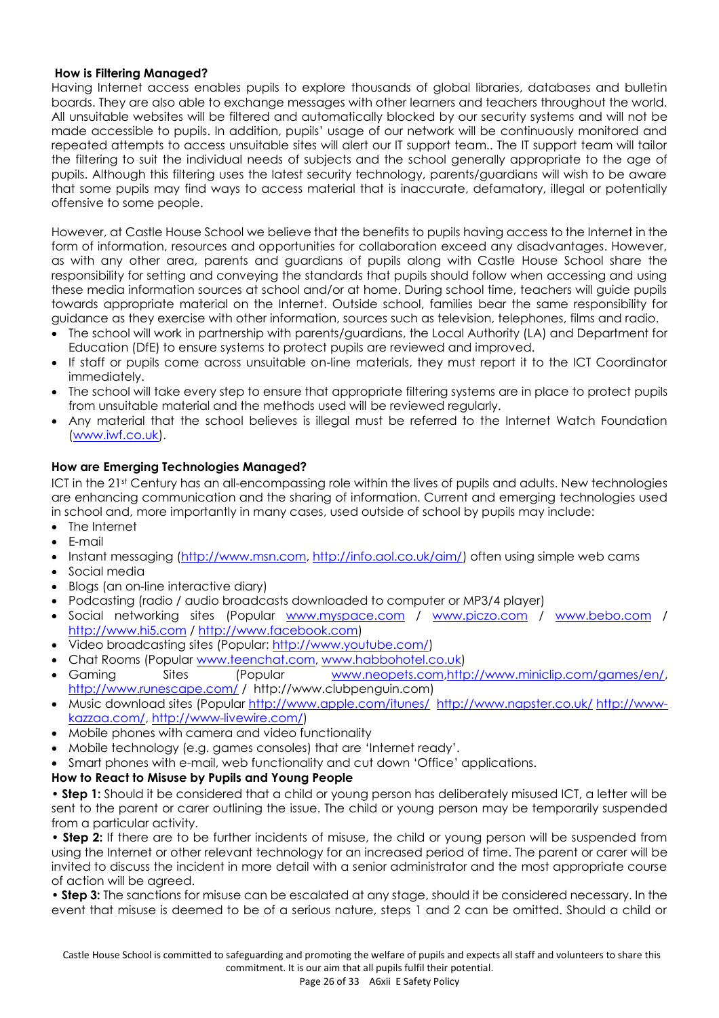#### **How is Filtering Managed?**

Having Internet access enables pupils to explore thousands of global libraries, databases and bulletin boards. They are also able to exchange messages with other learners and teachers throughout the world. All unsuitable websites will be filtered and automatically blocked by our security systems and will not be made accessible to pupils. In addition, pupils' usage of our network will be continuously monitored and repeated attempts to access unsuitable sites will alert our IT support team.. The IT support team will tailor the filtering to suit the individual needs of subjects and the school generally appropriate to the age of pupils. Although this filtering uses the latest security technology, parents/guardians will wish to be aware that some pupils may find ways to access material that is inaccurate, defamatory, illegal or potentially offensive to some people.

However, at Castle House School we believe that the benefits to pupils having access to the Internet in the form of information, resources and opportunities for collaboration exceed any disadvantages. However, as with any other area, parents and guardians of pupils along with Castle House School share the responsibility for setting and conveying the standards that pupils should follow when accessing and using these media information sources at school and/or at home. During school time, teachers will guide pupils towards appropriate material on the Internet. Outside school, families bear the same responsibility for guidance as they exercise with other information, sources such as television, telephones, films and radio.

- The school will work in partnership with parents/guardians, the Local Authority (LA) and Department for Education (DfE) to ensure systems to protect pupils are reviewed and improved.
- If staff or pupils come across unsuitable on-line materials, they must report it to the ICT Coordinator immediately.
- The school will take every step to ensure that appropriate filtering systems are in place to protect pupils from unsuitable material and the methods used will be reviewed regularly.
- Any material that the school believes is illegal must be referred to the Internet Watch Foundation [\(www.iwf.co.uk\)](http://www.iwf.co.uk/).

#### **How are Emerging Technologies Managed?**

ICT in the 21st Century has an all-encompassing role within the lives of pupils and adults. New technologies are enhancing communication and the sharing of information. Current and emerging technologies used in school and, more importantly in many cases, used outside of school by pupils may include:

- The Internet
- E-mail
- Instant messaging [\(http://www.msn.com,](http://www.msn.com/) [http://info.aol.co.uk/aim/\)](http://info.aol.co.uk/aim/) often using simple web cams
- Social media
- Blogs (an on-line interactive diary)
- Podcasting (radio / audio broadcasts downloaded to computer or MP3/4 player)
- Social networking sites (Popular [www.myspace.com](http://www.myspace.com/) / [www.piczo.com](http://www.piczo.com/) / [www.bebo.com](http://www.bebo.com/) / [http://www.hi5.com](http://www.hi5.com/) / [http://www.facebook.com\)](http://www.facebook.com/)
- Video broadcasting sites (Popular: [http://www.youtube.com/\)](http://www.youtube.com/)
- Chat Rooms (Popular [www.teenchat.com,](http://www.teenchat.com/) [www.habbohotel.co.uk\)](http://www.habbohotel.co.uk/)
- Gaming Sites (Popular [www.neopets.com](http://www.neopets.com/)[,http://www.miniclip.com/games/en/,](http://www.miniclip.com/games/en/) <http://www.runescape.com/> / http://www.clubpenguin.com)
- Music download sites (Popular<http://www.apple.com/itunes/><http://www.napster.co.uk/> [http://www](http://www-kazzaa.com/)[kazzaa.com/,](http://www-kazzaa.com/) [http://www-livewire.com/\)](http://www-livewire.com/)
- Mobile phones with camera and video functionality
- Mobile technology (e.g. games consoles) that are 'Internet ready'.
- Smart phones with e-mail, web functionality and cut down 'Office' applications.

# **How to React to Misuse by Pupils and Young People**

• **Step 1:** Should it be considered that a child or young person has deliberately misused ICT, a letter will be sent to the parent or carer outlining the issue. The child or young person may be temporarily suspended from a particular activity.

• **Step 2:** If there are to be further incidents of misuse, the child or young person will be suspended from using the Internet or other relevant technology for an increased period of time. The parent or carer will be invited to discuss the incident in more detail with a senior administrator and the most appropriate course of action will be agreed.

• **Step 3:** The sanctions for misuse can be escalated at any stage, should it be considered necessary. In the event that misuse is deemed to be of a serious nature, steps 1 and 2 can be omitted. Should a child or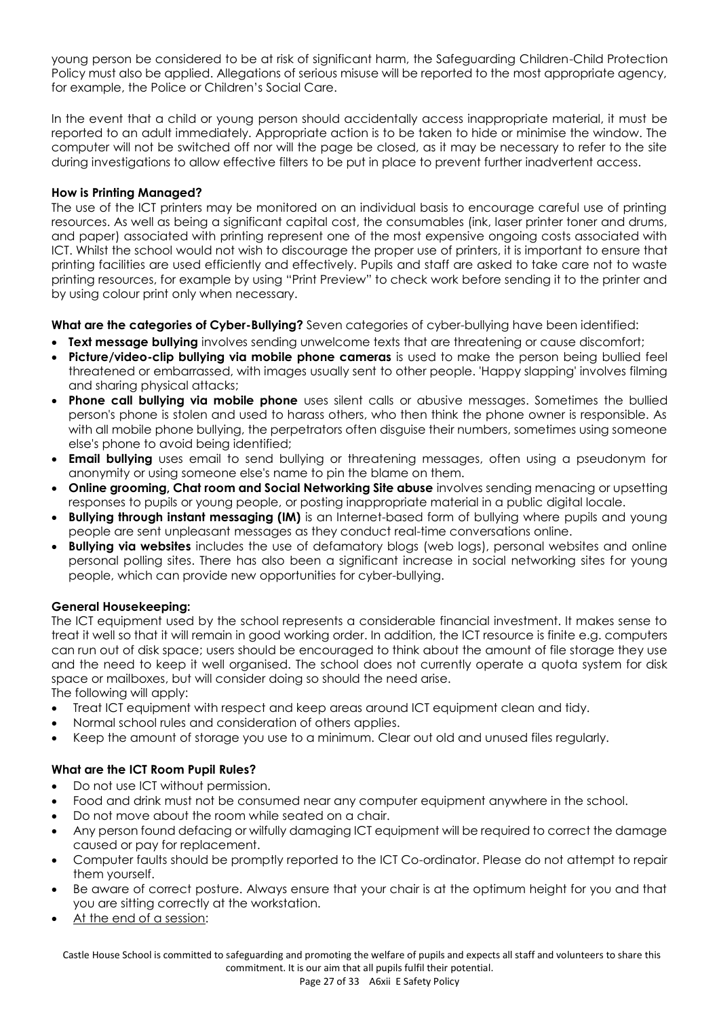young person be considered to be at risk of significant harm, the Safeguarding Children-Child Protection Policy must also be applied. Allegations of serious misuse will be reported to the most appropriate agency, for example, the Police or Children's Social Care.

In the event that a child or young person should accidentally access inappropriate material, it must be reported to an adult immediately. Appropriate action is to be taken to hide or minimise the window. The computer will not be switched off nor will the page be closed, as it may be necessary to refer to the site during investigations to allow effective filters to be put in place to prevent further inadvertent access.

# **How is Printing Managed?**

The use of the ICT printers may be monitored on an individual basis to encourage careful use of printing resources. As well as being a significant capital cost, the consumables (ink, laser printer toner and drums, and paper) associated with printing represent one of the most expensive ongoing costs associated with ICT. Whilst the school would not wish to discourage the proper use of printers, it is important to ensure that printing facilities are used efficiently and effectively. Pupils and staff are asked to take care not to waste printing resources, for example by using "Print Preview" to check work before sending it to the printer and by using colour print only when necessary.

**What are the categories of Cyber-Bullying?** Seven categories of cyber-bullying have been identified:

- **Text message bullying** involves sending unwelcome texts that are threatening or cause discomfort;
- **Picture/video-clip bullying via mobile phone cameras** is used to make the person being bullied feel threatened or embarrassed, with images usually sent to other people. 'Happy slapping' involves filming and sharing physical attacks;
- **Phone call bullying via mobile phone** uses silent calls or abusive messages. Sometimes the bullied person's phone is stolen and used to harass others, who then think the phone owner is responsible. As with all mobile phone bullying, the perpetrators often disguise their numbers, sometimes using someone else's phone to avoid being identified;
- **Email bullying** uses email to send bullying or threatening messages, often using a pseudonym for anonymity or using someone else's name to pin the blame on them.
- **Online grooming, Chat room and Social Networking Site abuse** involves sending menacing or upsetting responses to pupils or young people, or posting inappropriate material in a public digital locale.
- **Bullying through instant messaging (IM)** is an Internet-based form of bullying where pupils and young people are sent unpleasant messages as they conduct real-time conversations online.
- **Bullying via websites** includes the use of defamatory blogs (web logs), personal websites and online personal polling sites. There has also been a significant increase in social networking sites for young people, which can provide new opportunities for cyber-bullying.

# **General Housekeeping:**

The ICT equipment used by the school represents a considerable financial investment. It makes sense to treat it well so that it will remain in good working order. In addition, the ICT resource is finite e.g. computers can run out of disk space; users should be encouraged to think about the amount of file storage they use and the need to keep it well organised. The school does not currently operate a quota system for disk space or mailboxes, but will consider doing so should the need arise. The following will apply:

- Treat ICT equipment with respect and keep areas around ICT equipment clean and tidy.
- Normal school rules and consideration of others applies.
- Keep the amount of storage you use to a minimum. Clear out old and unused files regularly.

# **What are the ICT Room Pupil Rules?**

- Do not use ICT without permission.
- Food and drink must not be consumed near any computer equipment anywhere in the school.
- Do not move about the room while seated on a chair.
- Any person found defacing or wilfully damaging ICT equipment will be required to correct the damage caused or pay for replacement.
- Computer faults should be promptly reported to the ICT Co-ordinator. Please do not attempt to repair them yourself.
- Be aware of correct posture. Always ensure that your chair is at the optimum height for you and that you are sitting correctly at the workstation.
- At the end of a session:

 Castle House School is committed to safeguarding and promoting the welfare of pupils and expects all staff and volunteers to share this commitment. It is our aim that all pupils fulfil their potential.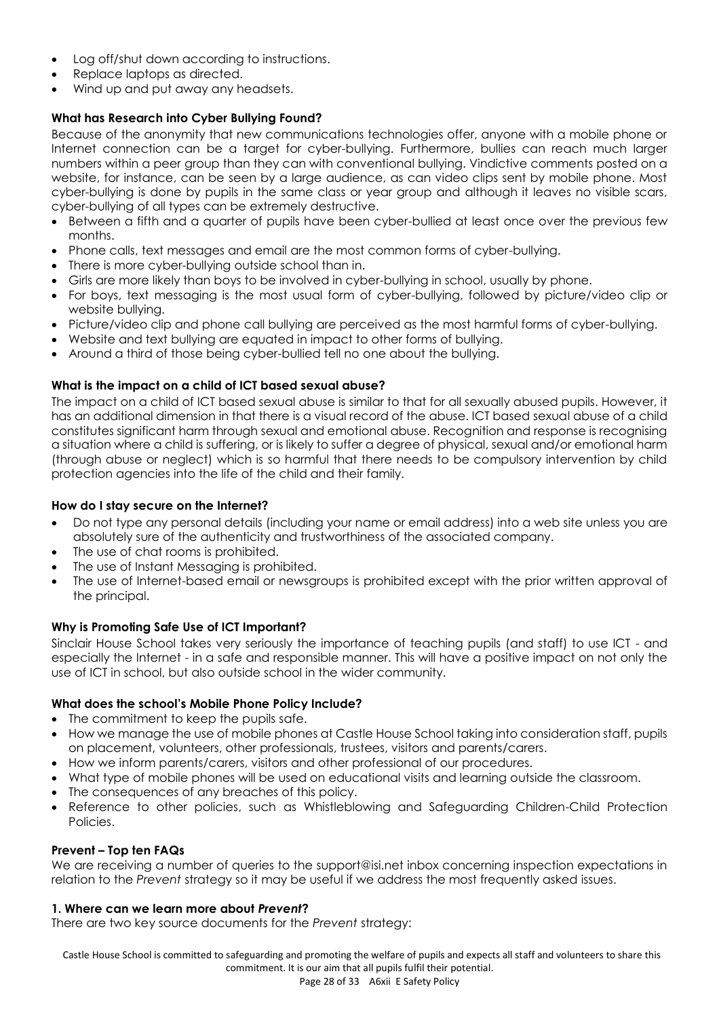- Log off/shut down according to instructions.
- Replace laptops as directed.
- Wind up and put away any headsets.

# **What has Research into Cyber Bullying Found?**

Because of the anonymity that new communications technologies offer, anyone with a mobile phone or Internet connection can be a target for cyber-bullying. Furthermore, bullies can reach much larger numbers within a peer group than they can with conventional bullying. Vindictive comments posted on a website, for instance, can be seen by a large audience, as can video clips sent by mobile phone. Most cyber-bullying is done by pupils in the same class or year group and although it leaves no visible scars, cyber-bullying of all types can be extremely destructive.

- Between a fifth and a quarter of pupils have been cyber-bullied at least once over the previous few months.
- Phone calls, text messages and email are the most common forms of cyber-bullying.
- There is more cyber-bullying outside school than in.
- Girls are more likely than boys to be involved in cyber-bullying in school, usually by phone.
- For boys, text messaging is the most usual form of cyber-bullying, followed by picture/video clip or website bullying.
- Picture/video clip and phone call bullying are perceived as the most harmful forms of cyber-bullying.
- Website and text bullying are equated in impact to other forms of bullying.
- Around a third of those being cyber-bullied tell no one about the bullying.

#### **What is the impact on a child of ICT based sexual abuse?**

The impact on a child of ICT based sexual abuse is similar to that for all sexually abused pupils. However, it has an additional dimension in that there is a visual record of the abuse. ICT based sexual abuse of a child constitutes significant harm through sexual and emotional abuse. Recognition and response is recognising a situation where a child is suffering, or is likely to suffer a degree of physical, sexual and/or emotional harm (through abuse or neglect) which is so harmful that there needs to be compulsory intervention by child protection agencies into the life of the child and their family.

#### **How do I stay secure on the Internet?**

- Do not type any personal details (including your name or email address) into a web site unless you are absolutely sure of the authenticity and trustworthiness of the associated company.
- The use of chat rooms is prohibited.
- The use of Instant Messaging is prohibited.
- The use of Internet-based email or newsgroups is prohibited except with the prior written approval of the principal.

#### **Why is Promoting Safe Use of ICT Important?**

Sinclair House School takes very seriously the importance of teaching pupils (and staff) to use ICT - and especially the Internet - in a safe and responsible manner. This will have a positive impact on not only the use of ICT in school, but also outside school in the wider community.

#### **What does the school's Mobile Phone Policy Include?**

- The commitment to keep the pupils safe.
- How we manage the use of mobile phones at Castle House School taking into consideration staff, pupils on placement, volunteers, other professionals, trustees, visitors and parents/carers.
- How we inform parents/carers, visitors and other professional of our procedures.
- What type of mobile phones will be used on educational visits and learning outside the classroom.
- The consequences of any breaches of this policy.
- Reference to other policies, such as Whistleblowing and Safeguarding Children-Child Protection Policies.

#### **Prevent – Top ten FAQs**

We are receiving a number of queries to the support@isi.net inbox concerning inspection expectations in relation to the *Prevent* strategy so it may be useful if we address the most frequently asked issues.

#### **1. Where can we learn more about** *Prevent***?**

There are two key source documents for the *Prevent* strategy:

 Castle House School is committed to safeguarding and promoting the welfare of pupils and expects all staff and volunteers to share this commitment. It is our aim that all pupils fulfil their potential.

Page 28 of 33 A6xii E Safety Policy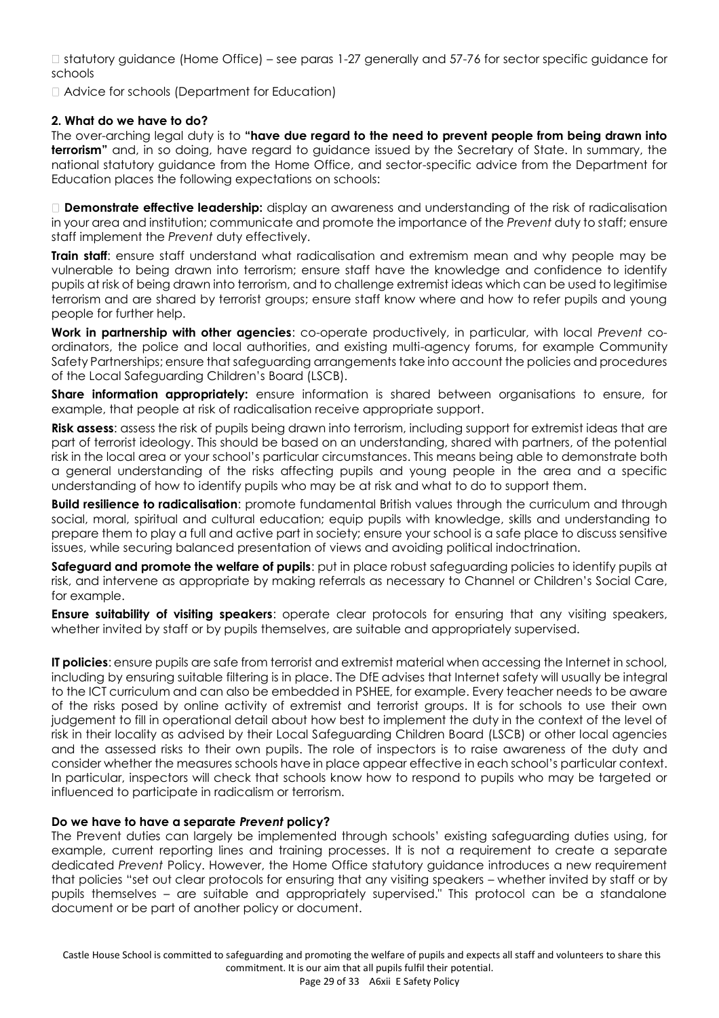□ statutory guidance (Home Office) – see paras 1-27 generally and 57-76 for sector specific guidance for schools

Advice for schools (Department for Education)

#### **2. What do we have to do?**

The over-arching legal duty is to **"have due regard to the need to prevent people from being drawn into terrorism"** and, in so doing, have regard to guidance issued by the Secretary of State. In summary, the national statutory guidance from the Home Office, and sector-specific advice from the Department for Education places the following expectations on schools:

**Demonstrate effective leadership:** display an awareness and understanding of the risk of radicalisation in your area and institution; communicate and promote the importance of the *Prevent* duty to staff; ensure staff implement the *Prevent* duty effectively.

**Train staff:** ensure staff understand what radicalisation and extremism mean and why people may be vulnerable to being drawn into terrorism; ensure staff have the knowledge and confidence to identify pupils at risk of being drawn into terrorism, and to challenge extremist ideas which can be used to legitimise terrorism and are shared by terrorist groups; ensure staff know where and how to refer pupils and young people for further help.

**Work in partnership with other agencies**: co-operate productively, in particular, with local *Prevent* coordinators, the police and local authorities, and existing multi-agency forums, for example Community Safety Partnerships; ensure that safeguarding arrangements take into account the policies and procedures of the Local Safeguarding Children's Board (LSCB).

**Share information appropriately:** ensure information is shared between organisations to ensure, for example, that people at risk of radicalisation receive appropriate support.

**Risk assess**: assess the risk of pupils being drawn into terrorism, including support for extremist ideas that are part of terrorist ideology. This should be based on an understanding, shared with partners, of the potential risk in the local area or your school's particular circumstances. This means being able to demonstrate both a general understanding of the risks affecting pupils and young people in the area and a specific understanding of how to identify pupils who may be at risk and what to do to support them.

**Build resilience to radicalisation**: promote fundamental British values through the curriculum and through social, moral, spiritual and cultural education; equip pupils with knowledge, skills and understanding to prepare them to play a full and active part in society; ensure your school is a safe place to discuss sensitive issues, while securing balanced presentation of views and avoiding political indoctrination.

**Safeguard and promote the welfare of pupils**: put in place robust safeguarding policies to identify pupils at risk, and intervene as appropriate by making referrals as necessary to Channel or Children's Social Care, for example.

**Ensure suitability of visiting speakers**: operate clear protocols for ensuring that any visiting speakers, whether invited by staff or by pupils themselves, are suitable and appropriately supervised.

**IT policies**: ensure pupils are safe from terrorist and extremist material when accessing the Internet in school, including by ensuring suitable filtering is in place. The DfE advises that Internet safety will usually be integral to the ICT curriculum and can also be embedded in PSHEE, for example. Every teacher needs to be aware of the risks posed by online activity of extremist and terrorist groups. It is for schools to use their own judgement to fill in operational detail about how best to implement the duty in the context of the level of risk in their locality as advised by their Local Safeguarding Children Board (LSCB) or other local agencies and the assessed risks to their own pupils. The role of inspectors is to raise awareness of the duty and consider whether the measures schools have in place appear effective in each school's particular context. In particular, inspectors will check that schools know how to respond to pupils who may be targeted or influenced to participate in radicalism or terrorism.

# **Do we have to have a separate** *Prevent* **policy?**

The Prevent duties can largely be implemented through schools' existing safeguarding duties using, for example, current reporting lines and training processes. It is not a requirement to create a separate dedicated *Prevent* Policy. However, the Home Office statutory guidance introduces a new requirement that policies "set out clear protocols for ensuring that any visiting speakers – whether invited by staff or by pupils themselves – are suitable and appropriately supervised." This protocol can be a standalone document or be part of another policy or document.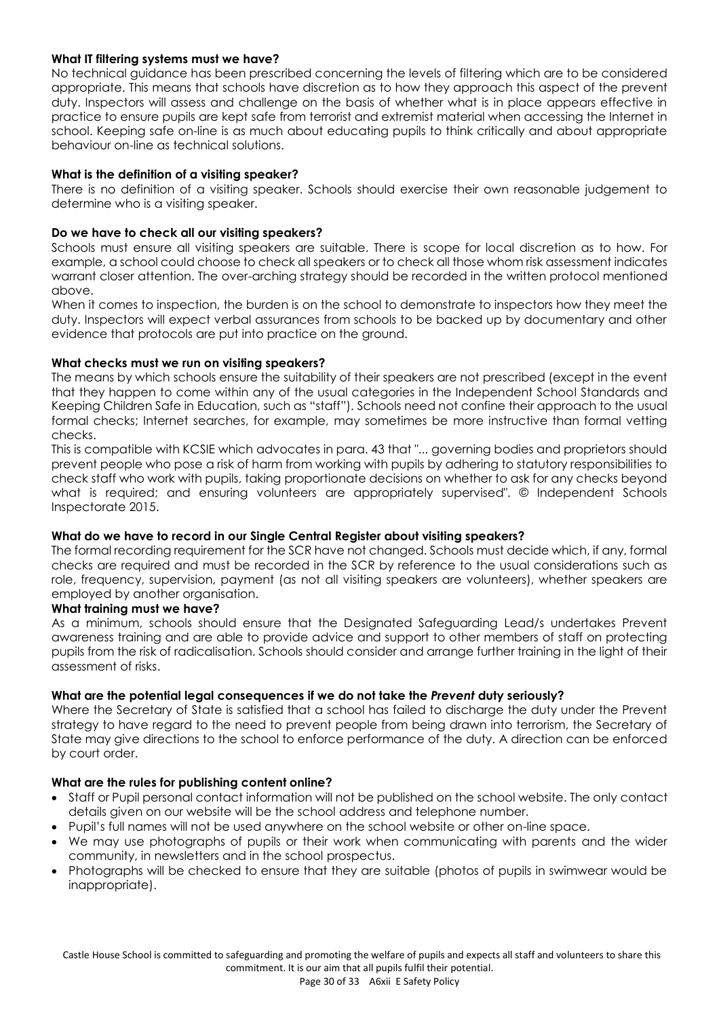#### **What IT filtering systems must we have?**

No technical guidance has been prescribed concerning the levels of filtering which are to be considered appropriate. This means that schools have discretion as to how they approach this aspect of the prevent duty. Inspectors will assess and challenge on the basis of whether what is in place appears effective in practice to ensure pupils are kept safe from terrorist and extremist material when accessing the Internet in school. Keeping safe on-line is as much about educating pupils to think critically and about appropriate behaviour on-line as technical solutions.

#### **What is the definition of a visiting speaker?**

There is no definition of a visiting speaker. Schools should exercise their own reasonable judgement to determine who is a visiting speaker.

#### **Do we have to check all our visiting speakers?**

Schools must ensure all visiting speakers are suitable. There is scope for local discretion as to how. For example, a school could choose to check all speakers or to check all those whom risk assessment indicates warrant closer attention. The over-arching strategy should be recorded in the written protocol mentioned above.

When it comes to inspection, the burden is on the school to demonstrate to inspectors how they meet the duty. Inspectors will expect verbal assurances from schools to be backed up by documentary and other evidence that protocols are put into practice on the ground.

#### **What checks must we run on visiting speakers?**

The means by which schools ensure the suitability of their speakers are not prescribed (except in the event that they happen to come within any of the usual categories in the Independent School Standards and Keeping Children Safe in Education, such as "staff"). Schools need not confine their approach to the usual formal checks; Internet searches, for example, may sometimes be more instructive than formal vetting checks.

This is compatible with KCSIE which advocates in para. 43 that "... governing bodies and proprietors should prevent people who pose a risk of harm from working with pupils by adhering to statutory responsibilities to check staff who work with pupils, taking proportionate decisions on whether to ask for any checks beyond what is required; and ensuring volunteers are appropriately supervised". © Independent Schools Inspectorate 2015.

#### **What do we have to record in our Single Central Register about visiting speakers?**

The formal recording requirement for the SCR have not changed. Schools must decide which, if any, formal checks are required and must be recorded in the SCR by reference to the usual considerations such as role, frequency, supervision, payment (as not all visiting speakers are volunteers), whether speakers are employed by another organisation.

#### **What training must we have?**

As a minimum, schools should ensure that the Designated Safeguarding Lead/s undertakes Prevent awareness training and are able to provide advice and support to other members of staff on protecting pupils from the risk of radicalisation. Schools should consider and arrange further training in the light of their assessment of risks.

#### **What are the potential legal consequences if we do not take the** *Prevent* **duty seriously?**

Where the Secretary of State is satisfied that a school has failed to discharge the duty under the Prevent strategy to have regard to the need to prevent people from being drawn into terrorism, the Secretary of State may give directions to the school to enforce performance of the duty. A direction can be enforced by court order.

#### **What are the rules for publishing content online?**

- Staff or Pupil personal contact information will not be published on the school website. The only contact details given on our website will be the school address and telephone number.
- Pupil's full names will not be used anywhere on the school website or other on-line space.
- We may use photographs of pupils or their work when communicating with parents and the wider community, in newsletters and in the school prospectus.
- Photographs will be checked to ensure that they are suitable (photos of pupils in swimwear would be inappropriate).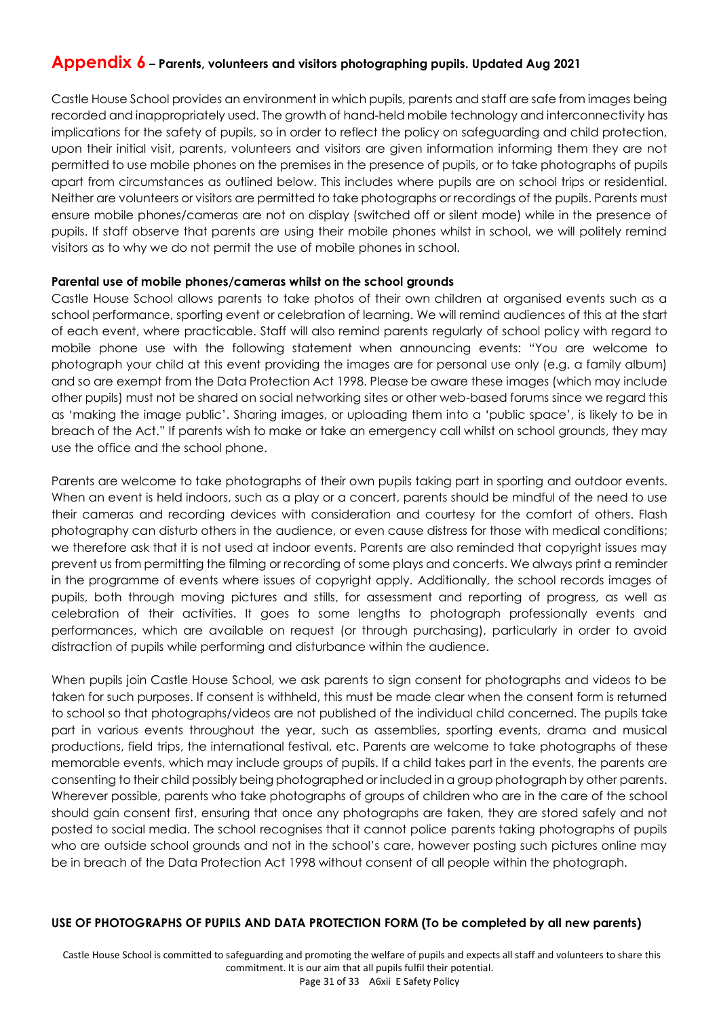# **Appendix 6 – Parents, volunteers and visitors photographing pupils. Updated Aug 2021**

Castle House School provides an environment in which pupils, parents and staff are safe from images being recorded and inappropriately used. The growth of hand-held mobile technology and interconnectivity has implications for the safety of pupils, so in order to reflect the policy on safeguarding and child protection, upon their initial visit, parents, volunteers and visitors are given information informing them they are not permitted to use mobile phones on the premises in the presence of pupils, or to take photographs of pupils apart from circumstances as outlined below. This includes where pupils are on school trips or residential. Neither are volunteers or visitors are permitted to take photographs or recordings of the pupils. Parents must ensure mobile phones/cameras are not on display (switched off or silent mode) while in the presence of pupils. If staff observe that parents are using their mobile phones whilst in school, we will politely remind visitors as to why we do not permit the use of mobile phones in school.

#### **Parental use of mobile phones/cameras whilst on the school grounds**

Castle House School allows parents to take photos of their own children at organised events such as a school performance, sporting event or celebration of learning. We will remind audiences of this at the start of each event, where practicable. Staff will also remind parents regularly of school policy with regard to mobile phone use with the following statement when announcing events: "You are welcome to photograph your child at this event providing the images are for personal use only (e.g. a family album) and so are exempt from the Data Protection Act 1998. Please be aware these images (which may include other pupils) must not be shared on social networking sites or other web-based forums since we regard this as 'making the image public'. Sharing images, or uploading them into a 'public space', is likely to be in breach of the Act." If parents wish to make or take an emergency call whilst on school grounds, they may use the office and the school phone.

Parents are welcome to take photographs of their own pupils taking part in sporting and outdoor events. When an event is held indoors, such as a play or a concert, parents should be mindful of the need to use their cameras and recording devices with consideration and courtesy for the comfort of others. Flash photography can disturb others in the audience, or even cause distress for those with medical conditions; we therefore ask that it is not used at indoor events. Parents are also reminded that copyright issues may prevent us from permitting the filming or recording of some plays and concerts. We always print a reminder in the programme of events where issues of copyright apply. Additionally, the school records images of pupils, both through moving pictures and stills, for assessment and reporting of progress, as well as celebration of their activities. It goes to some lengths to photograph professionally events and performances, which are available on request (or through purchasing), particularly in order to avoid distraction of pupils while performing and disturbance within the audience.

When pupils join Castle House School, we ask parents to sign consent for photographs and videos to be taken for such purposes. If consent is withheld, this must be made clear when the consent form is returned to school so that photographs/videos are not published of the individual child concerned. The pupils take part in various events throughout the year, such as assemblies, sporting events, drama and musical productions, field trips, the international festival, etc. Parents are welcome to take photographs of these memorable events, which may include groups of pupils. If a child takes part in the events, the parents are consenting to their child possibly being photographed or included in a group photograph by other parents. Wherever possible, parents who take photographs of groups of children who are in the care of the school should gain consent first, ensuring that once any photographs are taken, they are stored safely and not posted to social media. The school recognises that it cannot police parents taking photographs of pupils who are outside school grounds and not in the school's care, however posting such pictures online may be in breach of the Data Protection Act 1998 without consent of all people within the photograph.

# **USE OF PHOTOGRAPHS OF PUPILS AND DATA PROTECTION FORM (To be completed by all new parents)**

 Castle House School is committed to safeguarding and promoting the welfare of pupils and expects all staff and volunteers to share this commitment. It is our aim that all pupils fulfil their potential. Page 31 of 33 A6xii E Safety Policy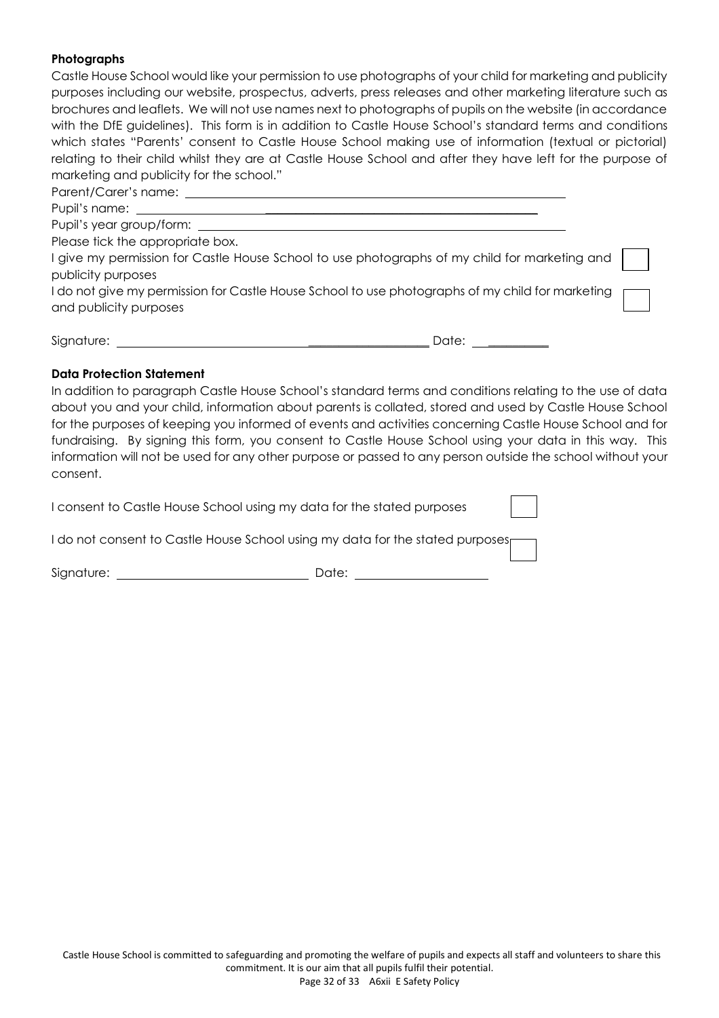# **Photographs**

Castle House School would like your permission to use photographs of your child for marketing and publicity purposes including our website, prospectus, adverts, press releases and other marketing literature such as brochures and leaflets. We will not use names next to photographs of pupils on the website (in accordance with the DfE guidelines). This form is in addition to Castle House School's standard terms and conditions which states "Parents' consent to Castle House School making use of information (textual or pictorial) relating to their child whilst they are at Castle House School and after they have left for the purpose of marketing and publicity for the school." Parent/Carer's name:

Pupil's name:

Pupil's year group/form:

Please tick the appropriate box.

I give my permission for Castle House School to use photographs of my child for marketing and publicity purposes

I do not give my permission for Castle House School to use photographs of my child for marketing and publicity purposes

Signature: \_\_\_\_\_\_\_\_\_\_\_\_\_\_\_\_\_\_\_\_ Date: \_\_\_\_\_\_\_\_\_\_

#### **Data Protection Statement**

In addition to paragraph Castle House School's standard terms and conditions relating to the use of data about you and your child, information about parents is collated, stored and used by Castle House School for the purposes of keeping you informed of events and activities concerning Castle House School and for fundraising. By signing this form, you consent to Castle House School using your data in this way. This information will not be used for any other purpose or passed to any person outside the school without your consent.

I consent to Castle House School using my data for the stated purposes

I do not consent to Castle House School using my data for the stated purposes

Signature: Date: Date: